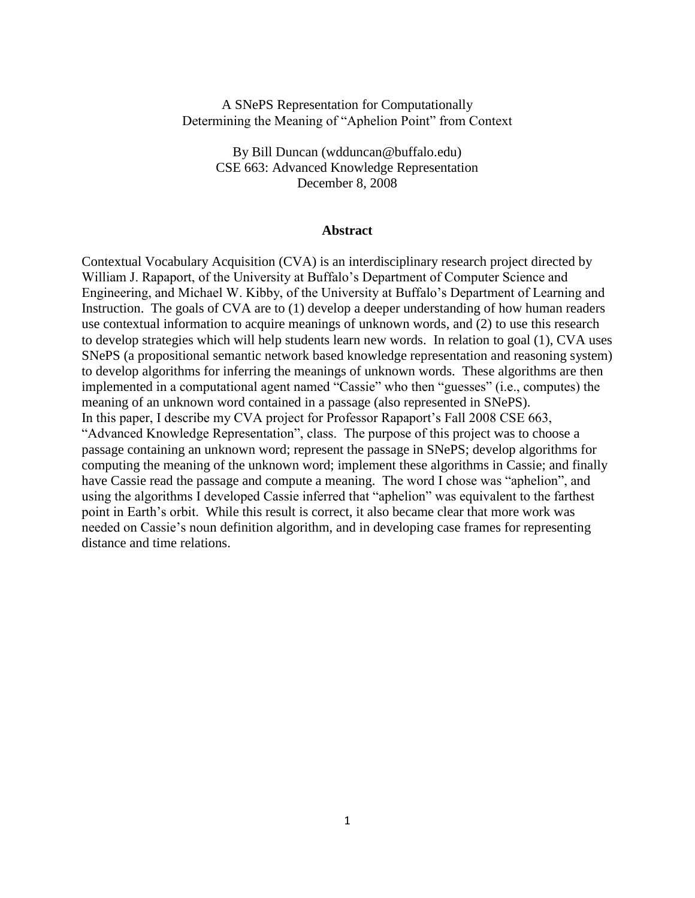## A SNePS Representation for Computationally Determining the Meaning of "Aphelion Point" from Context

By Bill Duncan (wdduncan@buffalo.edu) CSE 663: Advanced Knowledge Representation December 8, 2008

#### **Abstract**

Contextual Vocabulary Acquisition (CVA) is an interdisciplinary research project directed by William J. Rapaport, of the University at Buffalo"s Department of Computer Science and Engineering, and Michael W. Kibby, of the University at Buffalo"s Department of Learning and Instruction. The goals of CVA are to (1) develop a deeper understanding of how human readers use contextual information to acquire meanings of unknown words, and (2) to use this research to develop strategies which will help students learn new words. In relation to goal (1), CVA uses SNePS (a propositional semantic network based knowledge representation and reasoning system) to develop algorithms for inferring the meanings of unknown words. These algorithms are then implemented in a computational agent named "Cassie" who then "guesses" (i.e., computes) the meaning of an unknown word contained in a passage (also represented in SNePS). In this paper, I describe my CVA project for Professor Rapaport's Fall 2008 CSE 663, "Advanced Knowledge Representation", class. The purpose of this project was to choose a passage containing an unknown word; represent the passage in SNePS; develop algorithms for computing the meaning of the unknown word; implement these algorithms in Cassie; and finally have Cassie read the passage and compute a meaning. The word I chose was "aphelion", and using the algorithms I developed Cassie inferred that "aphelion" was equivalent to the farthest point in Earth's orbit. While this result is correct, it also became clear that more work was needed on Cassie's noun definition algorithm, and in developing case frames for representing distance and time relations.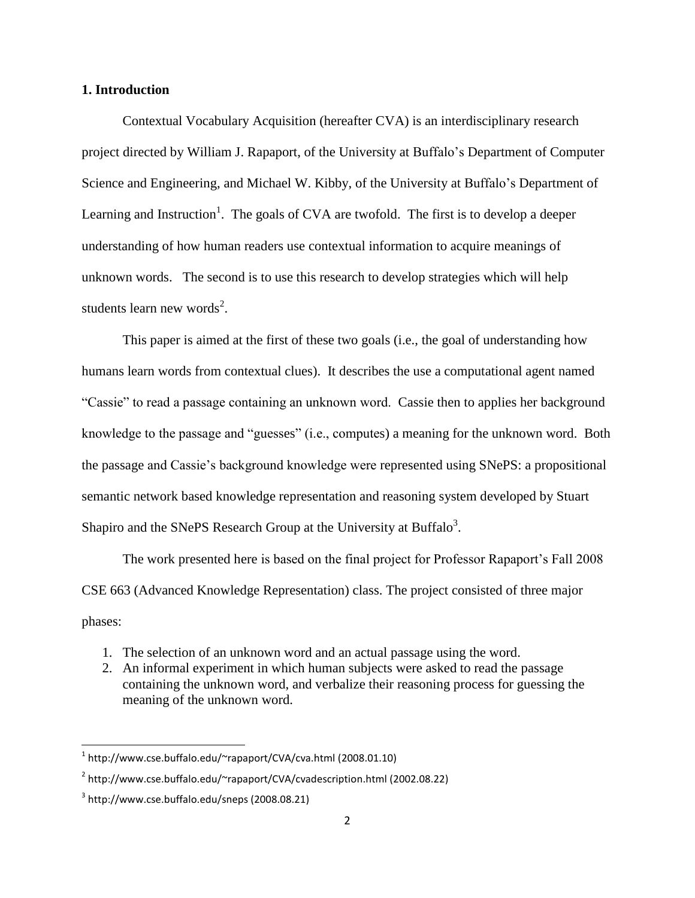#### **1. Introduction**

Contextual Vocabulary Acquisition (hereafter CVA) is an interdisciplinary research project directed by William J. Rapaport, of the University at Buffalo"s Department of Computer Science and Engineering, and Michael W. Kibby, of the University at Buffalo"s Department of Learning and Instruction<sup>1</sup>. The goals of CVA are twofold. The first is to develop a deeper understanding of how human readers use contextual information to acquire meanings of unknown words. The second is to use this research to develop strategies which will help students learn new words<sup>2</sup>.

This paper is aimed at the first of these two goals (i.e., the goal of understanding how humans learn words from contextual clues). It describes the use a computational agent named "Cassie" to read a passage containing an unknown word. Cassie then to applies her background knowledge to the passage and "guesses" (i.e., computes) a meaning for the unknown word. Both the passage and Cassie"s background knowledge were represented using SNePS: a propositional semantic network based knowledge representation and reasoning system developed by Stuart Shapiro and the SNePS Research Group at the University at Buffalo<sup>3</sup>.

The work presented here is based on the final project for Professor Rapaport's Fall 2008 CSE 663 (Advanced Knowledge Representation) class. The project consisted of three major phases:

- 1. The selection of an unknown word and an actual passage using the word.
- 2. An informal experiment in which human subjects were asked to read the passage containing the unknown word, and verbalize their reasoning process for guessing the meaning of the unknown word.

 $\overline{a}$ 

<sup>1</sup> http://www.cse.buffalo.edu/~rapaport/CVA/cva.html (2008.01.10)

<sup>2</sup> http://www.cse.buffalo.edu/~rapaport/CVA/cvadescription.html (2002.08.22)

<sup>3</sup> http://www.cse.buffalo.edu/sneps (2008.08.21)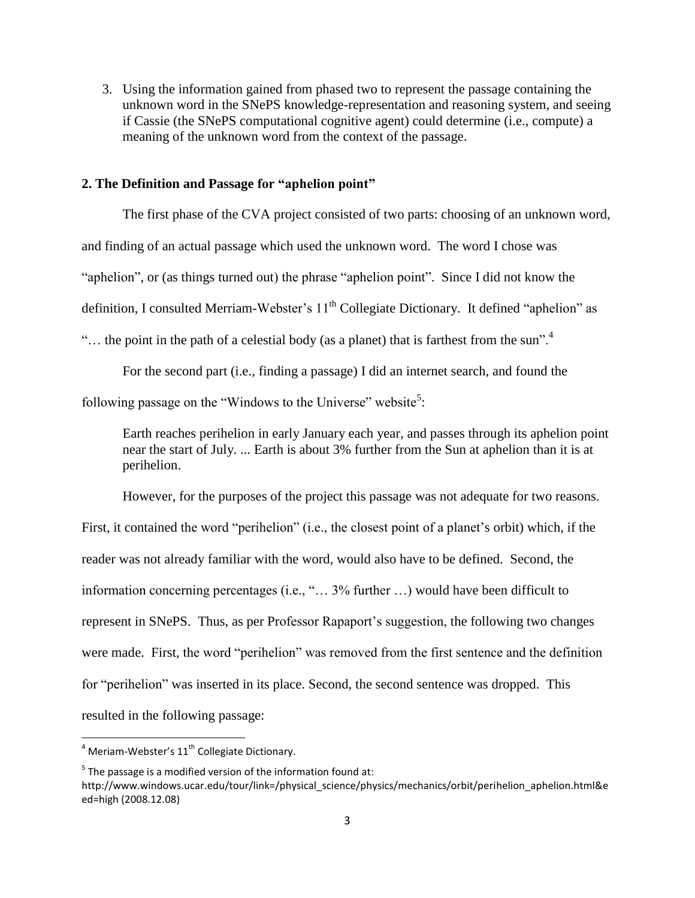3. Using the information gained from phased two to represent the passage containing the unknown word in the SNePS knowledge-representation and reasoning system, and seeing if Cassie (the SNePS computational cognitive agent) could determine (i.e., compute) a meaning of the unknown word from the context of the passage.

### **2. The Definition and Passage for "aphelion point"**

The first phase of the CVA project consisted of two parts: choosing of an unknown word, and finding of an actual passage which used the unknown word. The word I chose was "aphelion", or (as things turned out) the phrase "aphelion point". Since I did not know the definition, I consulted Merriam-Webster's 11<sup>th</sup> Collegiate Dictionary. It defined "aphelion" as "... the point in the path of a celestial body (as a planet) that is farthest from the sun".<sup>4</sup>

For the second part (i.e., finding a passage) I did an internet search, and found the

following passage on the "Windows to the Universe" website<sup>5</sup>:

Earth reaches perihelion in early January each year, and passes through its aphelion point near the start of July. ... Earth is about 3% further from the Sun at aphelion than it is at perihelion.

However, for the purposes of the project this passage was not adequate for two reasons.

First, it contained the word "perihelion" (i.e., the closest point of a planet's orbit) which, if the reader was not already familiar with the word, would also have to be defined. Second, the information concerning percentages (i.e., "… 3% further …) would have been difficult to represent in SNePS. Thus, as per Professor Rapaport's suggestion, the following two changes were made. First, the word "perihelion" was removed from the first sentence and the definition for "perihelion" was inserted in its place. Second, the second sentence was dropped. This resulted in the following passage:

l

 $^4$  Meriam-Webster's 11<sup>th</sup> Collegiate Dictionary.

 $5$  The passage is a modified version of the information found at:

http://www.windows.ucar.edu/tour/link=/physical\_science/physics/mechanics/orbit/perihelion\_aphelion.html&e ed=high (2008.12.08)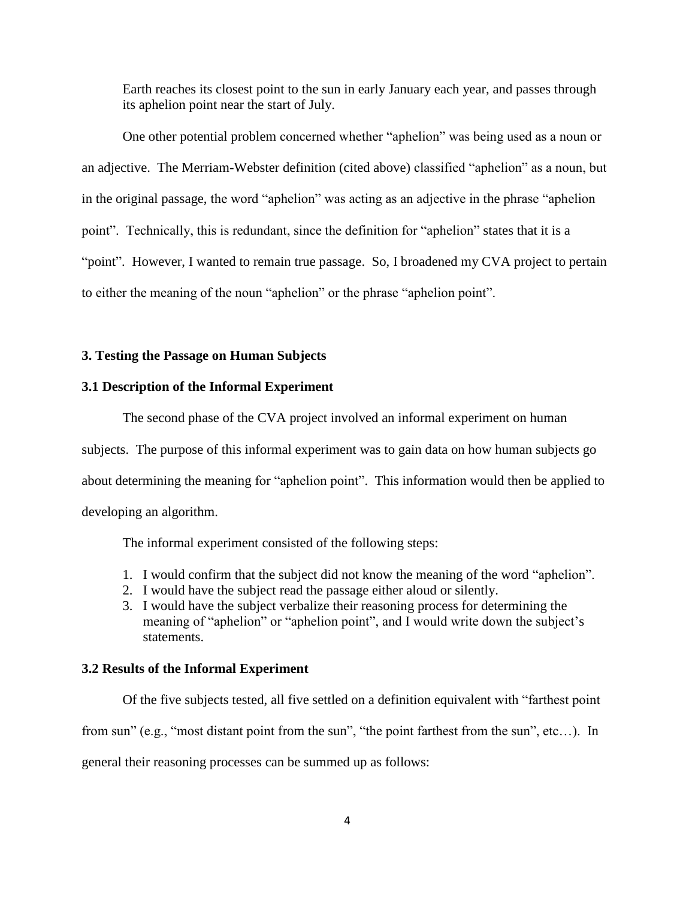Earth reaches its closest point to the sun in early January each year, and passes through its aphelion point near the start of July.

One other potential problem concerned whether "aphelion" was being used as a noun or an adjective. The Merriam-Webster definition (cited above) classified "aphelion" as a noun, but in the original passage, the word "aphelion" was acting as an adjective in the phrase "aphelion point". Technically, this is redundant, since the definition for "aphelion" states that it is a "point". However, I wanted to remain true passage. So, I broadened my CVA project to pertain to either the meaning of the noun "aphelion" or the phrase "aphelion point".

## **3. Testing the Passage on Human Subjects**

### **3.1 Description of the Informal Experiment**

The second phase of the CVA project involved an informal experiment on human subjects. The purpose of this informal experiment was to gain data on how human subjects go about determining the meaning for "aphelion point". This information would then be applied to developing an algorithm.

The informal experiment consisted of the following steps:

- 1. I would confirm that the subject did not know the meaning of the word "aphelion".
- 2. I would have the subject read the passage either aloud or silently.
- 3. I would have the subject verbalize their reasoning process for determining the meaning of "aphelion" or "aphelion point", and I would write down the subject's statements.

## **3.2 Results of the Informal Experiment**

Of the five subjects tested, all five settled on a definition equivalent with "farthest point from sun" (e.g., "most distant point from the sun", "the point farthest from the sun", etc…). In general their reasoning processes can be summed up as follows: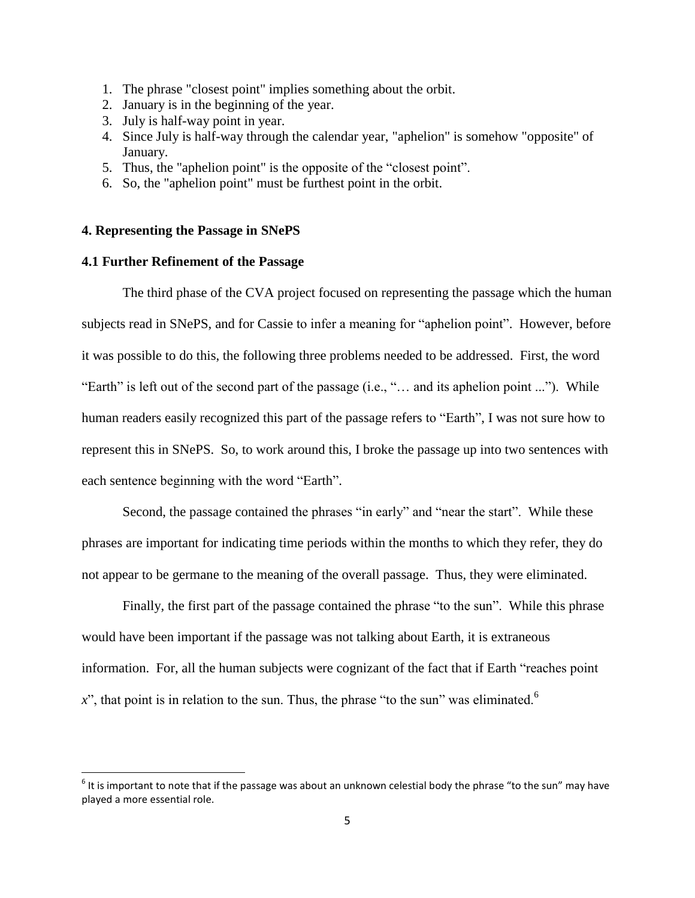- 1. The phrase "closest point" implies something about the orbit.
- 2. January is in the beginning of the year.
- 3. July is half-way point in year.
- 4. Since July is half-way through the calendar year, "aphelion" is somehow "opposite" of January.
- 5. Thus, the "aphelion point" is the opposite of the "closest point".
- 6. So, the "aphelion point" must be furthest point in the orbit.

## **4. Representing the Passage in SNePS**

# **4.1 Further Refinement of the Passage**

 $\overline{\phantom{a}}$ 

The third phase of the CVA project focused on representing the passage which the human subjects read in SNePS, and for Cassie to infer a meaning for "aphelion point". However, before it was possible to do this, the following three problems needed to be addressed. First, the word "Earth" is left out of the second part of the passage (i.e., "… and its aphelion point ..."). While human readers easily recognized this part of the passage refers to "Earth", I was not sure how to represent this in SNePS. So, to work around this, I broke the passage up into two sentences with each sentence beginning with the word "Earth".

Second, the passage contained the phrases "in early" and "near the start". While these phrases are important for indicating time periods within the months to which they refer, they do not appear to be germane to the meaning of the overall passage. Thus, they were eliminated.

Finally, the first part of the passage contained the phrase "to the sun". While this phrase would have been important if the passage was not talking about Earth, it is extraneous information. For, all the human subjects were cognizant of the fact that if Earth "reaches point  $x^{\prime\prime}$ , that point is in relation to the sun. Thus, the phrase "to the sun" was eliminated.<sup>6</sup>

 $^6$  It is important to note that if the passage was about an unknown celestial body the phrase "to the sun" may have played a more essential role.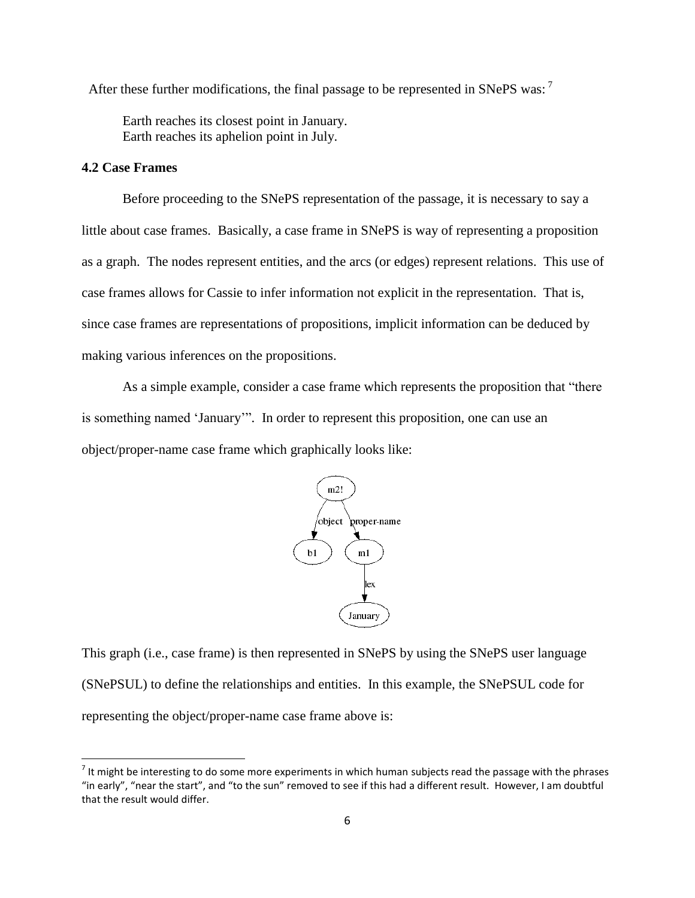After these further modifications, the final passage to be represented in SNePS was:<sup>7</sup>

Earth reaches its closest point in January. Earth reaches its aphelion point in July.

## **4.2 Case Frames**

 $\overline{a}$ 

Before proceeding to the SNePS representation of the passage, it is necessary to say a little about case frames. Basically, a case frame in SNePS is way of representing a proposition as a graph. The nodes represent entities, and the arcs (or edges) represent relations. This use of case frames allows for Cassie to infer information not explicit in the representation. That is, since case frames are representations of propositions, implicit information can be deduced by making various inferences on the propositions.

As a simple example, consider a case frame which represents the proposition that "there is something named "January"". In order to represent this proposition, one can use an object/proper-name case frame which graphically looks like:



This graph (i.e., case frame) is then represented in SNePS by using the SNePS user language (SNePSUL) to define the relationships and entities. In this example, the SNePSUL code for representing the object/proper-name case frame above is:

 $^7$  It might be interesting to do some more experiments in which human subjects read the passage with the phrases "in early", "near the start", and "to the sun" removed to see if this had a different result. However, I am doubtful that the result would differ.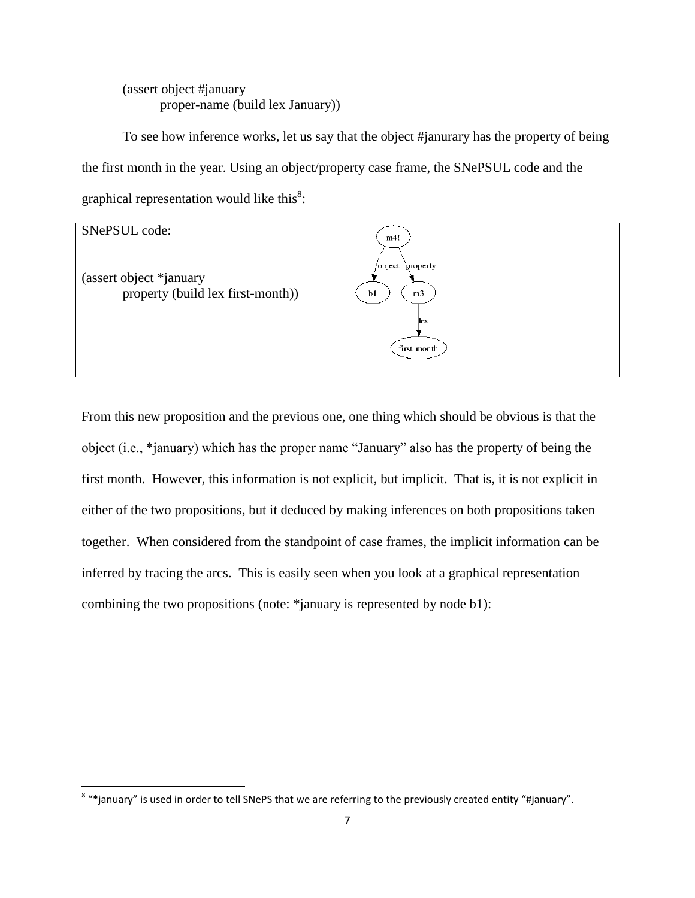# (assert object #january proper-name (build lex January))

To see how inference works, let us say that the object #janurary has the property of being the first month in the year. Using an object/property case frame, the SNePSUL code and the graphical representation would like this $8$ :



From this new proposition and the previous one, one thing which should be obvious is that the object (i.e., \*january) which has the proper name "January" also has the property of being the first month. However, this information is not explicit, but implicit. That is, it is not explicit in either of the two propositions, but it deduced by making inferences on both propositions taken together. When considered from the standpoint of case frames, the implicit information can be inferred by tracing the arcs. This is easily seen when you look at a graphical representation combining the two propositions (note: \*january is represented by node b1):

 8 "\*january" is used in order to tell SNePS that we are referring to the previously created entity "#january".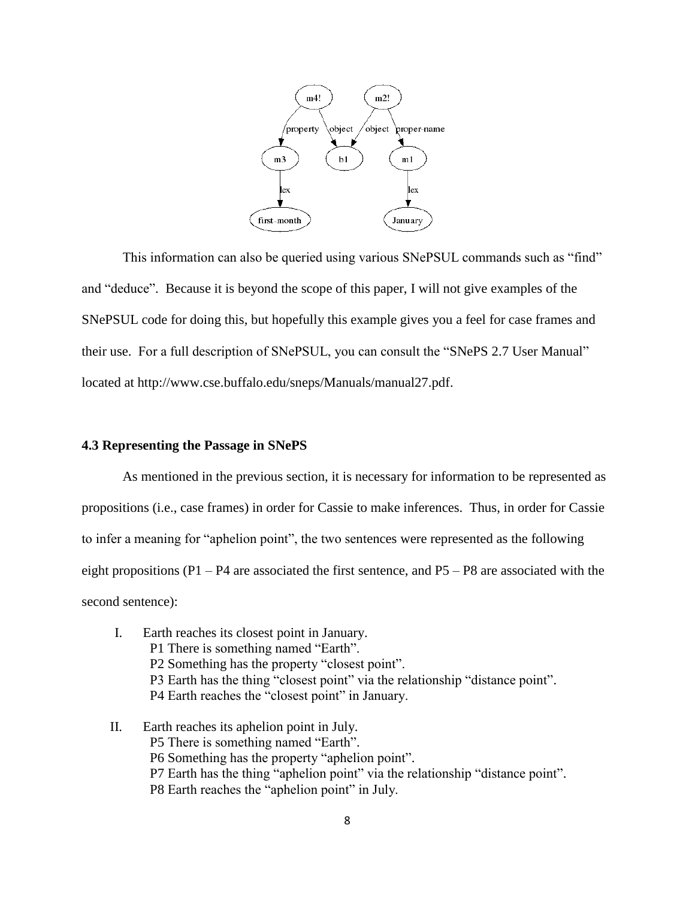

This information can also be queried using various SNePSUL commands such as "find" and "deduce". Because it is beyond the scope of this paper, I will not give examples of the SNePSUL code for doing this, but hopefully this example gives you a feel for case frames and their use. For a full description of SNePSUL, you can consult the "SNePS 2.7 User Manual" located at http://www.cse.buffalo.edu/sneps/Manuals/manual27.pdf.

#### **4.3 Representing the Passage in SNePS**

As mentioned in the previous section, it is necessary for information to be represented as propositions (i.e., case frames) in order for Cassie to make inferences. Thus, in order for Cassie to infer a meaning for "aphelion point", the two sentences were represented as the following eight propositions (P1 – P4 are associated the first sentence, and P5 – P8 are associated with the second sentence):

- I. Earth reaches its closest point in January. P1 There is something named "Earth". P2 Something has the property "closest point". P3 Earth has the thing "closest point" via the relationship "distance point". P4 Earth reaches the "closest point" in January.
- II. Earth reaches its aphelion point in July. P5 There is something named "Earth". P6 Something has the property "aphelion point". P7 Earth has the thing "aphelion point" via the relationship "distance point". P8 Earth reaches the "aphelion point" in July.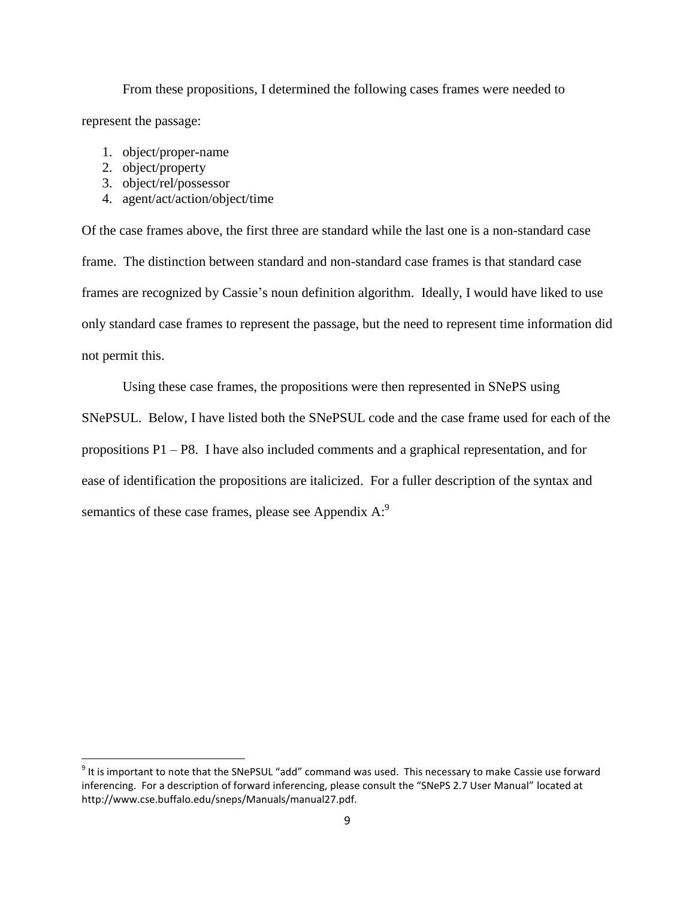From these propositions, I determined the following cases frames were needed to represent the passage:

- 1. object/proper-name
- 2. object/property

 $\overline{a}$ 

- 3. object/rel/possessor
- 4. agent/act/action/object/time

Of the case frames above, the first three are standard while the last one is a non-standard case frame. The distinction between standard and non-standard case frames is that standard case frames are recognized by Cassie's noun definition algorithm. Ideally, I would have liked to use only standard case frames to represent the passage, but the need to represent time information did not permit this.

Using these case frames, the propositions were then represented in SNePS using SNePSUL. Below, I have listed both the SNePSUL code and the case frame used for each of the propositions P1 – P8. I have also included comments and a graphical representation, and for ease of identification the propositions are italicized. For a fuller description of the syntax and semantics of these case frames, please see Appendix  $A$ :

 $9$  It is important to note that the SNePSUL "add" command was used. This necessary to make Cassie use forward inferencing. For a description of forward inferencing, please consult the "SNePS 2.7 User Manual" located at http://www.cse.buffalo.edu/sneps/Manuals/manual27.pdf.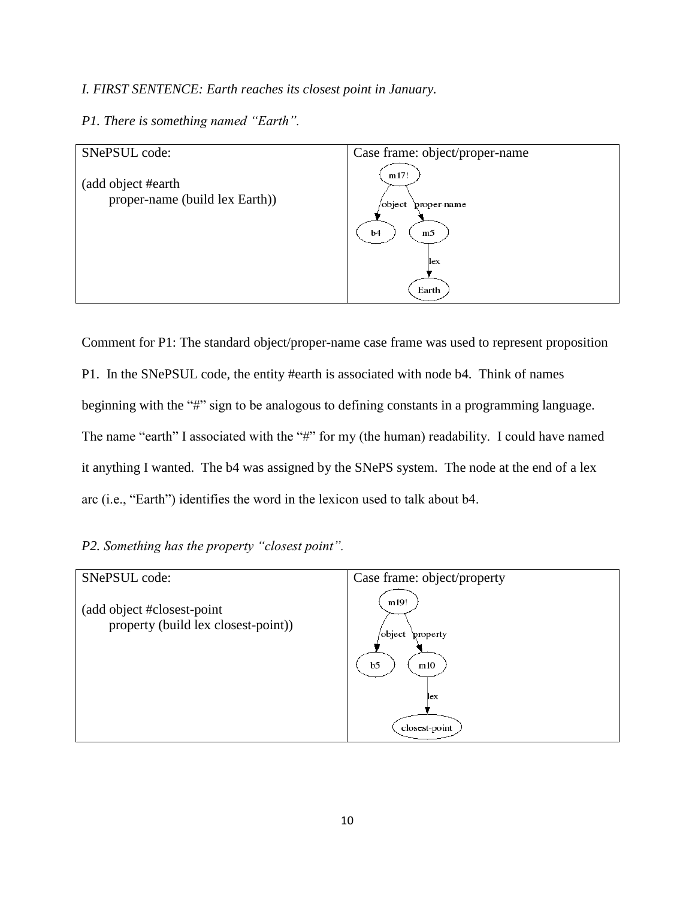# *I. FIRST SENTENCE: Earth reaches its closest point in January.*

# *P1. There is something named "Earth".*



Comment for P1: The standard object/proper-name case frame was used to represent proposition P1. In the SNePSUL code, the entity #earth is associated with node b4. Think of names beginning with the "#" sign to be analogous to defining constants in a programming language. The name "earth" I associated with the "#" for my (the human) readability. I could have named it anything I wanted. The b4 was assigned by the SNePS system. The node at the end of a lex arc (i.e., "Earth") identifies the word in the lexicon used to talk about b4.

| P2. Something has the property "closest point". |  |  |
|-------------------------------------------------|--|--|
|                                                 |  |  |

| Case frame: object/property                                 |
|-------------------------------------------------------------|
| m19!<br>/object<br>property<br>b <sub>5</sub><br>m10<br>lex |
| closest-point                                               |
|                                                             |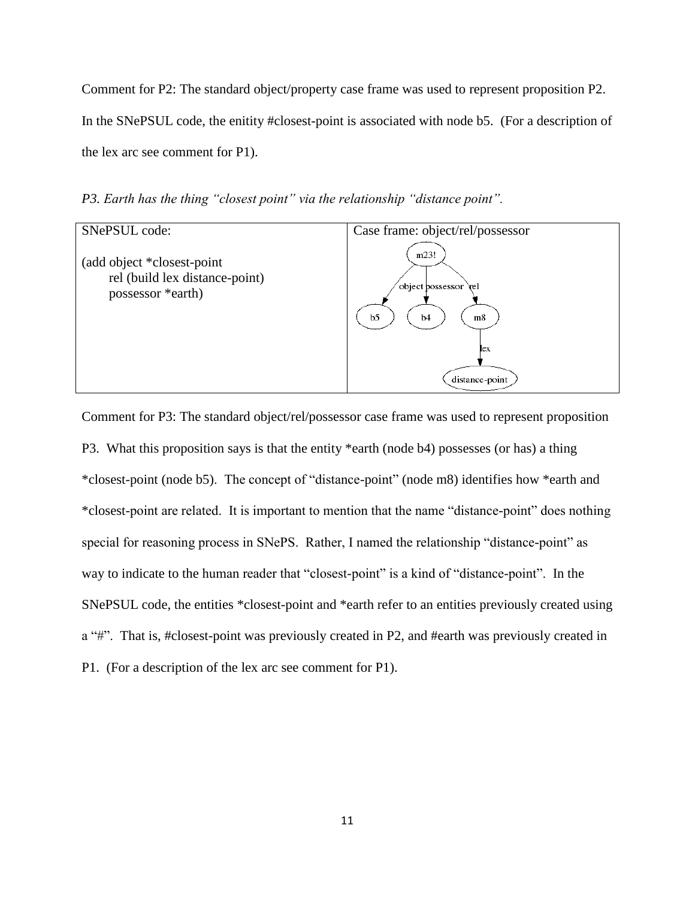Comment for P2: The standard object/property case frame was used to represent proposition P2. In the SNePSUL code, the enitity #closest-point is associated with node b5. (For a description of the lex arc see comment for P1).

*P3. Earth has the thing "closest point" via the relationship "distance point".*



Comment for P3: The standard object/rel/possessor case frame was used to represent proposition P3. What this proposition says is that the entity \*earth (node b4) possesses (or has) a thing \*closest-point (node b5). The concept of "distance-point" (node m8) identifies how \*earth and \*closest-point are related. It is important to mention that the name "distance-point" does nothing special for reasoning process in SNePS. Rather, I named the relationship "distance-point" as way to indicate to the human reader that "closest-point" is a kind of "distance-point". In the SNePSUL code, the entities \*closest-point and \*earth refer to an entities previously created using a "#". That is, #closest-point was previously created in P2, and #earth was previously created in P1. (For a description of the lex arc see comment for P1).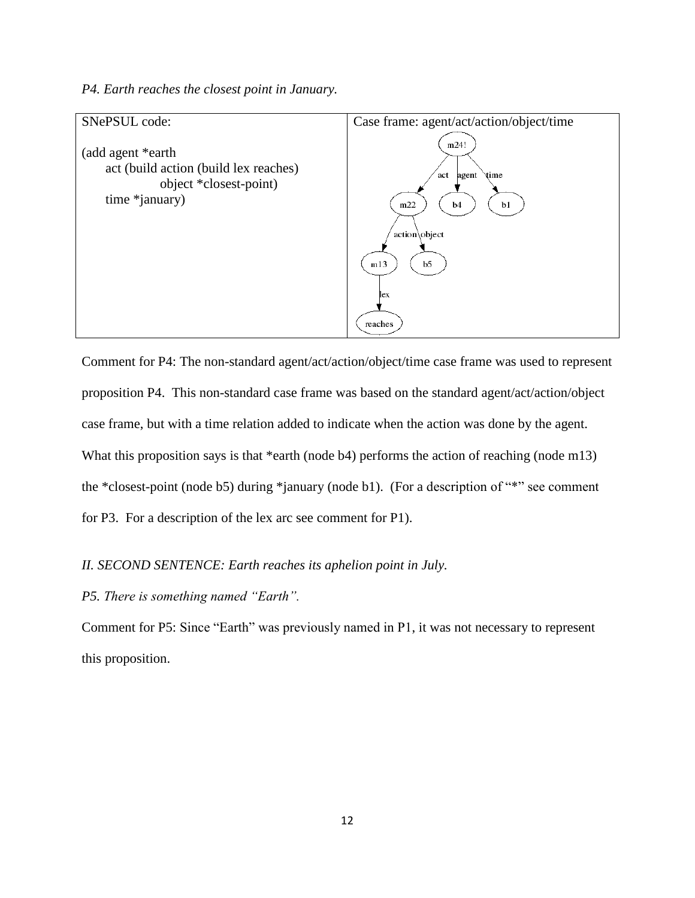*P4. Earth reaches the closest point in January.*



Comment for P4: The non-standard agent/act/action/object/time case frame was used to represent proposition P4. This non-standard case frame was based on the standard agent/act/action/object case frame, but with a time relation added to indicate when the action was done by the agent. What this proposition says is that \*earth (node b4) performs the action of reaching (node m13) the \*closest-point (node b5) during \*january (node b1). (For a description of "\*" see comment for P3. For a description of the lex arc see comment for P1).

## *II. SECOND SENTENCE: Earth reaches its aphelion point in July.*

*P5. There is something named "Earth".*

Comment for P5: Since "Earth" was previously named in P1, it was not necessary to represent this proposition.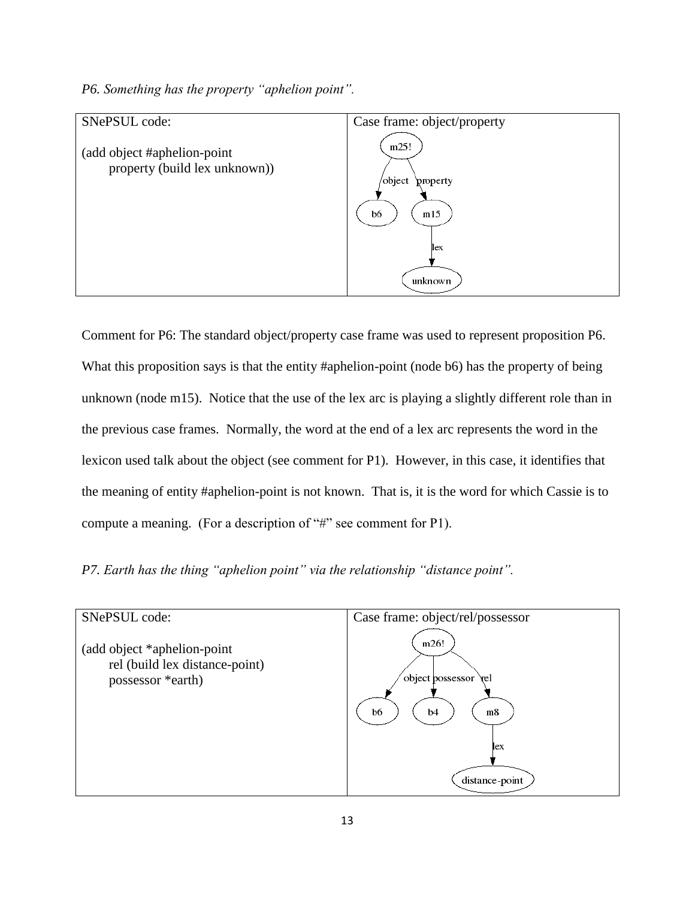*P6. Something has the property "aphelion point".*



Comment for P6: The standard object/property case frame was used to represent proposition P6. What this proposition says is that the entity #aphelion-point (node b6) has the property of being unknown (node m15). Notice that the use of the lex arc is playing a slightly different role than in the previous case frames. Normally, the word at the end of a lex arc represents the word in the lexicon used talk about the object (see comment for P1). However, in this case, it identifies that the meaning of entity #aphelion-point is not known. That is, it is the word for which Cassie is to compute a meaning. (For a description of "#" see comment for P1).

*P7. Earth has the thing "aphelion point" via the relationship "distance point".*

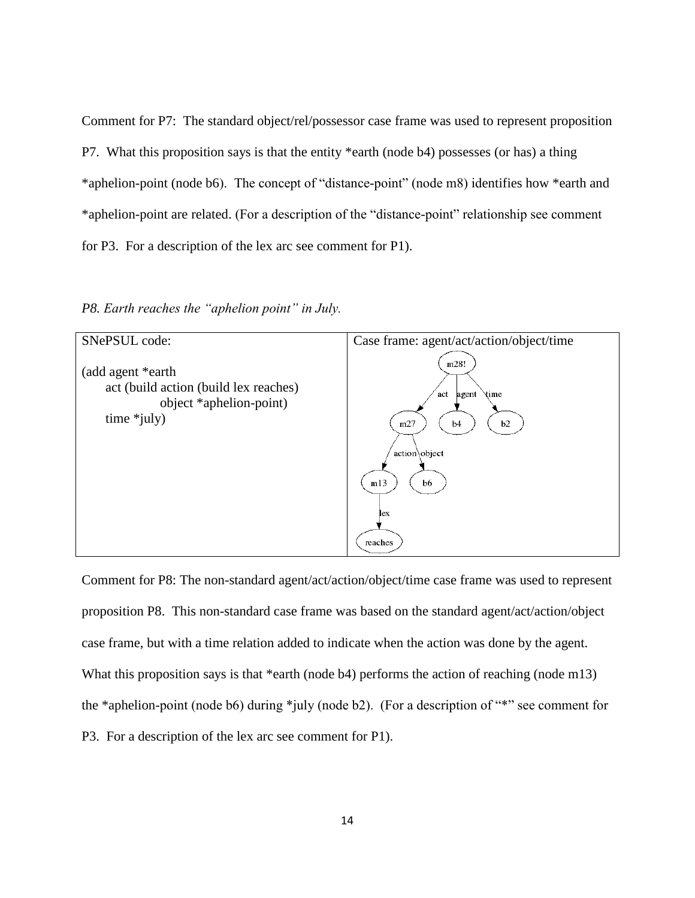Comment for P7: The standard object/rel/possessor case frame was used to represent proposition P7. What this proposition says is that the entity \*earth (node b4) possesses (or has) a thing \*aphelion-point (node b6). The concept of "distance-point" (node m8) identifies how \*earth and \*aphelion-point are related. (For a description of the "distance-point" relationship see comment for P3. For a description of the lex arc see comment for P1).

*P8. Earth reaches the "aphelion point" in July.*



Comment for P8: The non-standard agent/act/action/object/time case frame was used to represent proposition P8. This non-standard case frame was based on the standard agent/act/action/object case frame, but with a time relation added to indicate when the action was done by the agent. What this proposition says is that \*earth (node b4) performs the action of reaching (node m13) the \*aphelion-point (node b6) during \*july (node b2). (For a description of "\*" see comment for P3. For a description of the lex arc see comment for P1).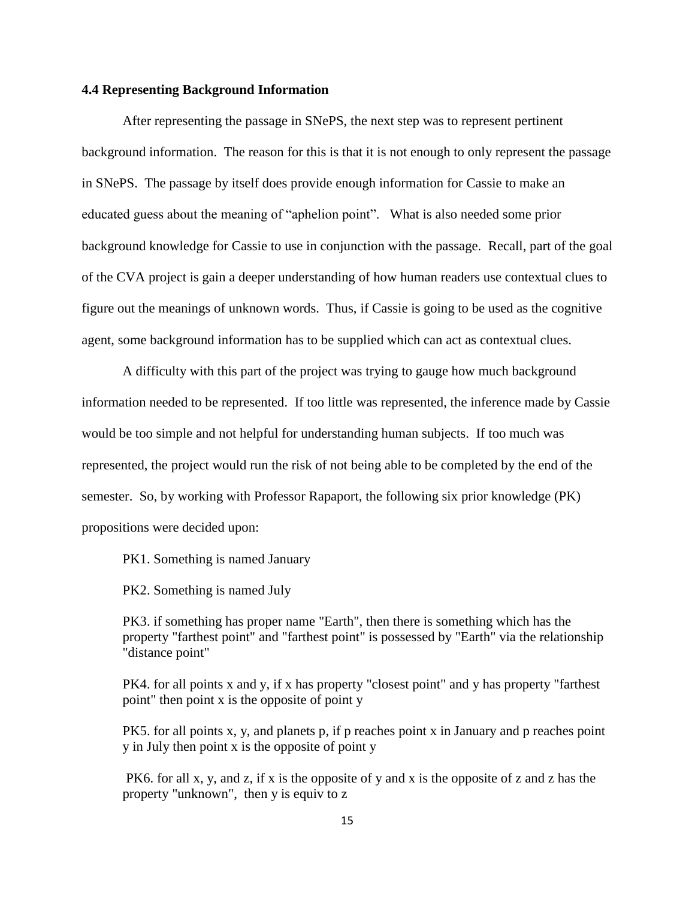## **4.4 Representing Background Information**

After representing the passage in SNePS, the next step was to represent pertinent background information. The reason for this is that it is not enough to only represent the passage in SNePS. The passage by itself does provide enough information for Cassie to make an educated guess about the meaning of "aphelion point". What is also needed some prior background knowledge for Cassie to use in conjunction with the passage. Recall, part of the goal of the CVA project is gain a deeper understanding of how human readers use contextual clues to figure out the meanings of unknown words. Thus, if Cassie is going to be used as the cognitive agent, some background information has to be supplied which can act as contextual clues.

A difficulty with this part of the project was trying to gauge how much background information needed to be represented. If too little was represented, the inference made by Cassie would be too simple and not helpful for understanding human subjects. If too much was represented, the project would run the risk of not being able to be completed by the end of the semester. So, by working with Professor Rapaport, the following six prior knowledge (PK) propositions were decided upon:

PK1. Something is named January

PK2. Something is named July

PK3. if something has proper name "Earth", then there is something which has the property "farthest point" and "farthest point" is possessed by "Earth" via the relationship "distance point"

PK4. for all points x and y, if x has property "closest point" and y has property "farthest point" then point x is the opposite of point y

PK5. for all points x, y, and planets p, if p reaches point x in January and p reaches point y in July then point x is the opposite of point y

PK6. for all x, y, and z, if x is the opposite of y and x is the opposite of z and z has the property "unknown", then y is equiv to z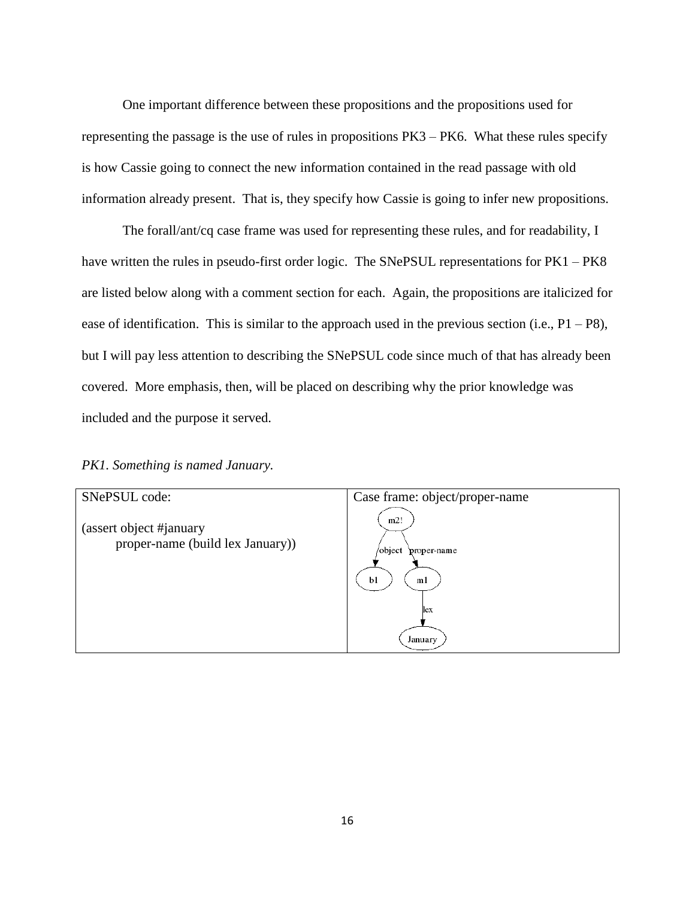One important difference between these propositions and the propositions used for representing the passage is the use of rules in propositions PK3 – PK6. What these rules specify is how Cassie going to connect the new information contained in the read passage with old information already present. That is, they specify how Cassie is going to infer new propositions.

The forall/ant/cq case frame was used for representing these rules, and for readability, I have written the rules in pseudo-first order logic. The SNePSUL representations for PK1 – PK8 are listed below along with a comment section for each. Again, the propositions are italicized for ease of identification. This is similar to the approach used in the previous section (i.e.,  $P1 - P8$ ), but I will pay less attention to describing the SNePSUL code since much of that has already been covered. More emphasis, then, will be placed on describing why the prior knowledge was included and the purpose it served.

#### *PK1. Something is named January.*

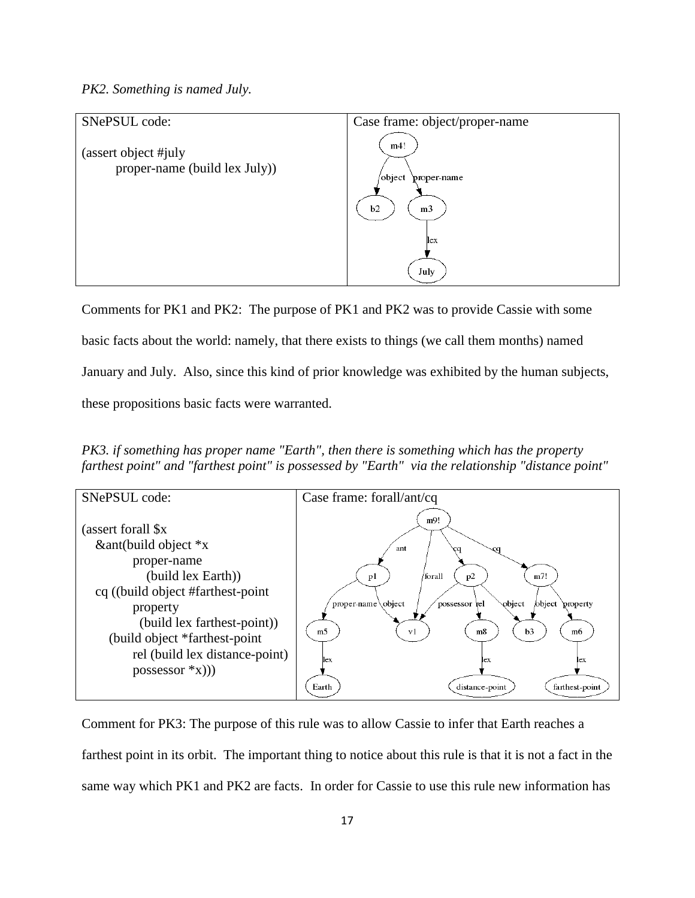## *PK2. Something is named July.*



Comments for PK1 and PK2: The purpose of PK1 and PK2 was to provide Cassie with some basic facts about the world: namely, that there exists to things (we call them months) named January and July. Also, since this kind of prior knowledge was exhibited by the human subjects, these propositions basic facts were warranted.

*PK3. if something has proper name "Earth", then there is something which has the property farthest point" and "farthest point" is possessed by "Earth" via the relationship "distance point"*



Comment for PK3: The purpose of this rule was to allow Cassie to infer that Earth reaches a farthest point in its orbit. The important thing to notice about this rule is that it is not a fact in the same way which PK1 and PK2 are facts. In order for Cassie to use this rule new information has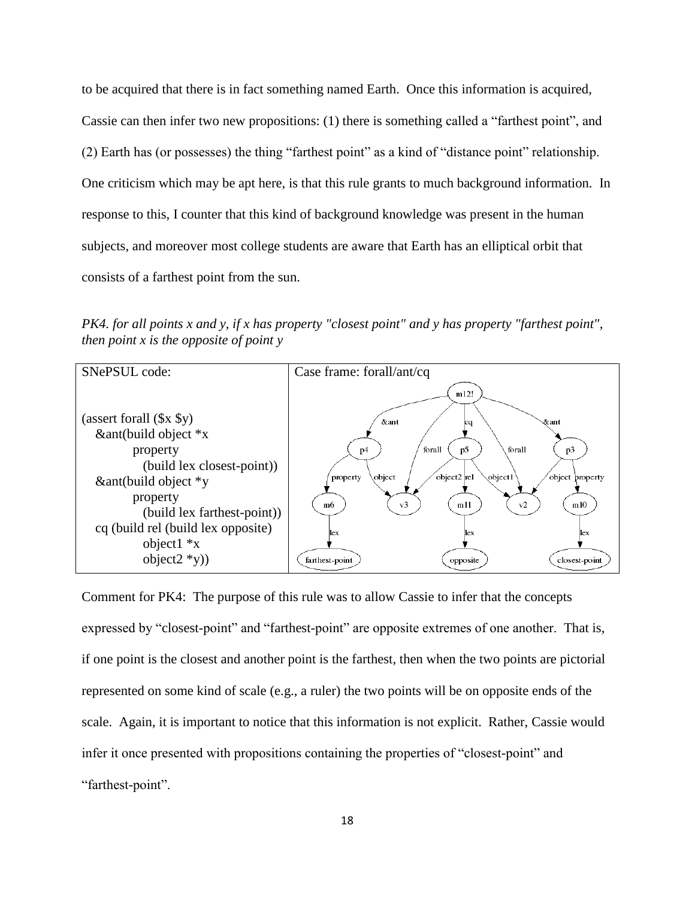to be acquired that there is in fact something named Earth. Once this information is acquired, Cassie can then infer two new propositions: (1) there is something called a "farthest point", and (2) Earth has (or possesses) the thing "farthest point" as a kind of "distance point" relationship. One criticism which may be apt here, is that this rule grants to much background information. In response to this, I counter that this kind of background knowledge was present in the human subjects, and moreover most college students are aware that Earth has an elliptical orbit that consists of a farthest point from the sun.

*PK4. for all points x and y, if x has property "closest point" and y has property "farthest point", then point x is the opposite of point y*



Comment for PK4: The purpose of this rule was to allow Cassie to infer that the concepts expressed by "closest-point" and "farthest-point" are opposite extremes of one another. That is, if one point is the closest and another point is the farthest, then when the two points are pictorial represented on some kind of scale (e.g., a ruler) the two points will be on opposite ends of the scale. Again, it is important to notice that this information is not explicit. Rather, Cassie would infer it once presented with propositions containing the properties of "closest-point" and "farthest-point".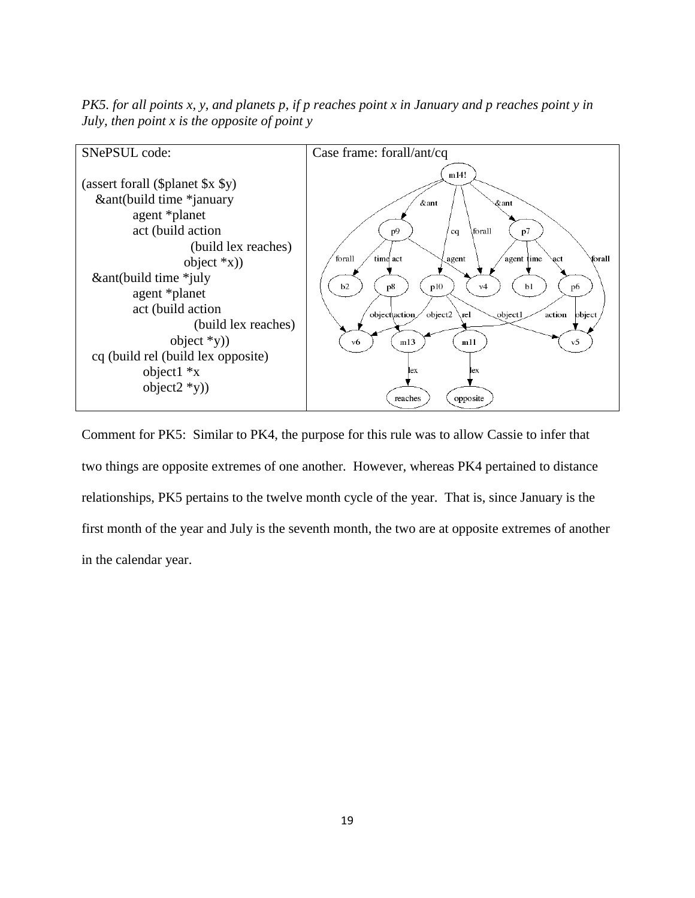*PK5. for all points x, y, and planets p, if p reaches point x in January and p reaches point y in July, then point x is the opposite of point y*



Comment for PK5: Similar to PK4, the purpose for this rule was to allow Cassie to infer that two things are opposite extremes of one another. However, whereas PK4 pertained to distance relationships, PK5 pertains to the twelve month cycle of the year. That is, since January is the first month of the year and July is the seventh month, the two are at opposite extremes of another in the calendar year.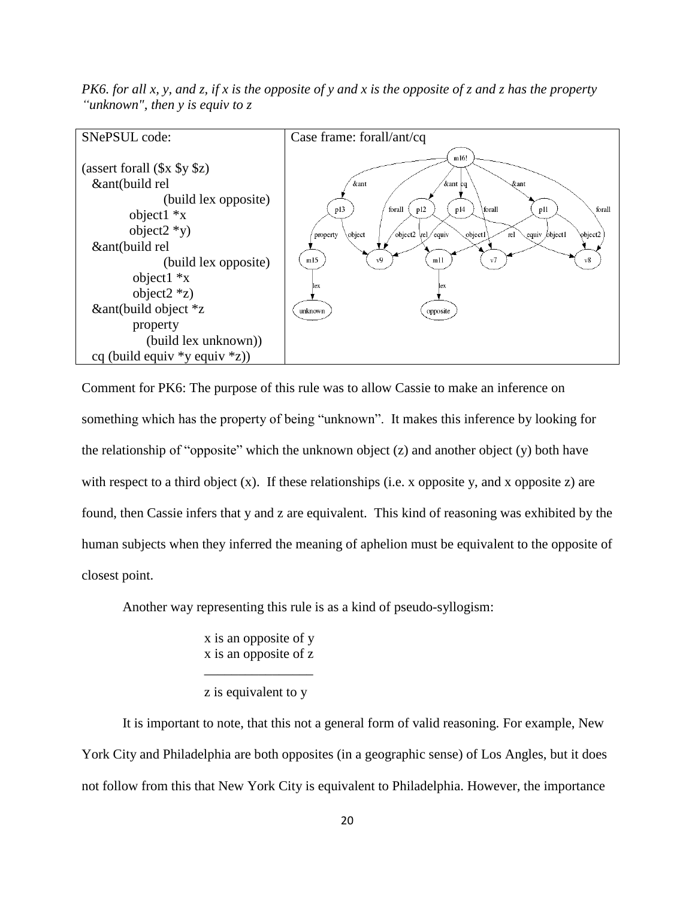*PK6. for all x, y, and z, if x is the opposite of y and x is the opposite of z and z has the property "unknown", then y is equiv to z*



Comment for PK6: The purpose of this rule was to allow Cassie to make an inference on something which has the property of being "unknown". It makes this inference by looking for the relationship of "opposite" which the unknown object  $(z)$  and another object  $(y)$  both have with respect to a third object  $(x)$ . If these relationships (i.e. x opposite y, and x opposite z) are found, then Cassie infers that y and z are equivalent. This kind of reasoning was exhibited by the human subjects when they inferred the meaning of aphelion must be equivalent to the opposite of closest point.

Another way representing this rule is as a kind of pseudo-syllogism:

x is an opposite of y x is an opposite of z \_\_\_\_\_\_\_\_\_\_\_\_\_\_\_\_

z is equivalent to y

It is important to note, that this not a general form of valid reasoning. For example, New York City and Philadelphia are both opposites (in a geographic sense) of Los Angles, but it does not follow from this that New York City is equivalent to Philadelphia. However, the importance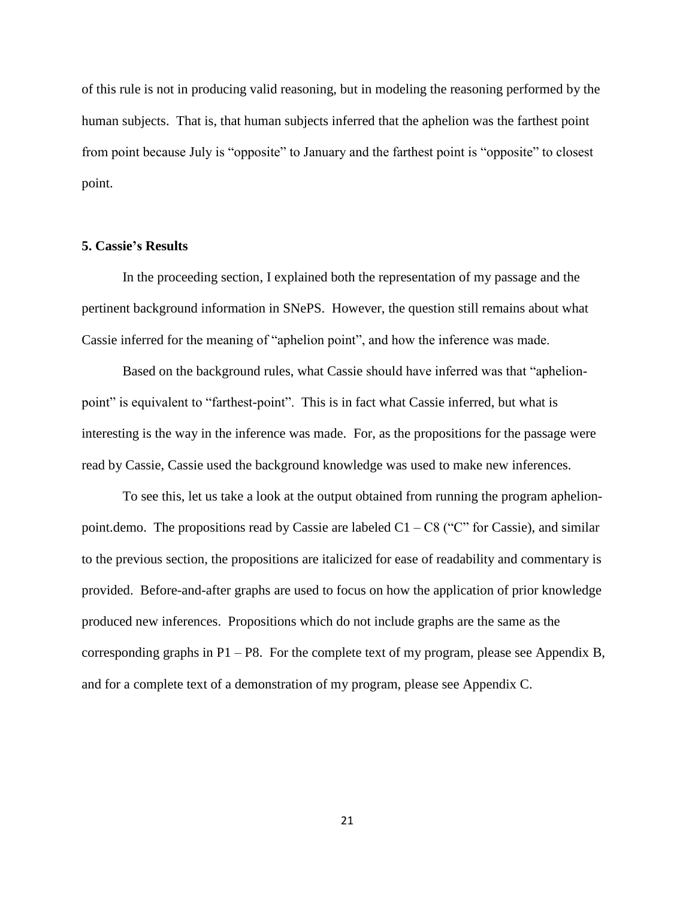of this rule is not in producing valid reasoning, but in modeling the reasoning performed by the human subjects. That is, that human subjects inferred that the aphelion was the farthest point from point because July is "opposite" to January and the farthest point is "opposite" to closest point.

#### **5. Cassie's Results**

In the proceeding section, I explained both the representation of my passage and the pertinent background information in SNePS. However, the question still remains about what Cassie inferred for the meaning of "aphelion point", and how the inference was made.

Based on the background rules, what Cassie should have inferred was that "aphelionpoint" is equivalent to "farthest-point". This is in fact what Cassie inferred, but what is interesting is the way in the inference was made. For, as the propositions for the passage were read by Cassie, Cassie used the background knowledge was used to make new inferences.

To see this, let us take a look at the output obtained from running the program aphelionpoint.demo. The propositions read by Cassie are labeled  $C1 - C8$  ("C" for Cassie), and similar to the previous section, the propositions are italicized for ease of readability and commentary is provided. Before-and-after graphs are used to focus on how the application of prior knowledge produced new inferences. Propositions which do not include graphs are the same as the corresponding graphs in P1 – P8. For the complete text of my program, please see Appendix B, and for a complete text of a demonstration of my program, please see Appendix C.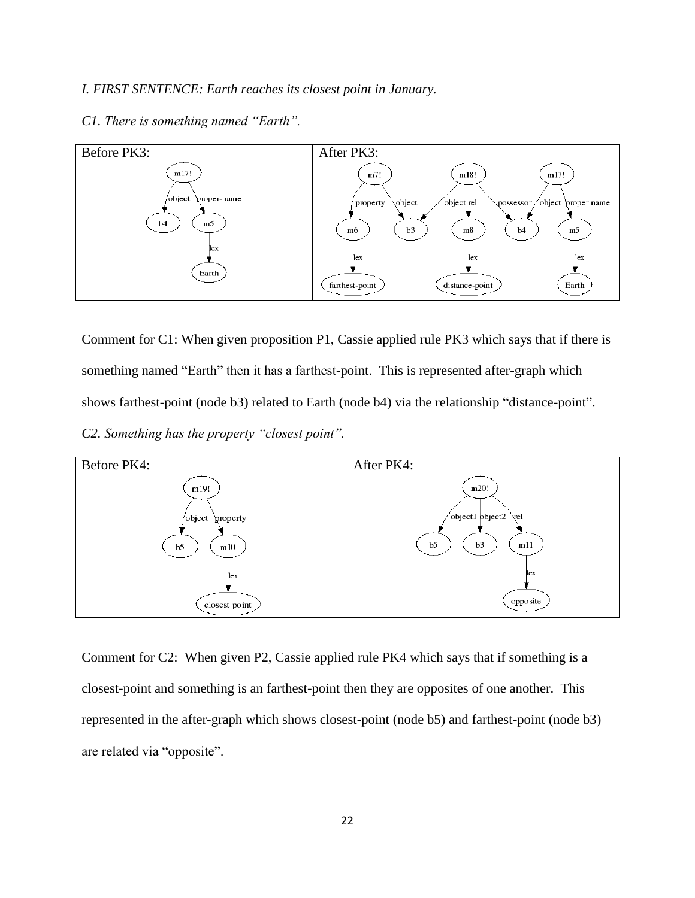## *I. FIRST SENTENCE: Earth reaches its closest point in January.*



*C1. There is something named "Earth".*

Comment for C1: When given proposition P1, Cassie applied rule PK3 which says that if there is something named "Earth" then it has a farthest-point. This is represented after-graph which shows farthest-point (node b3) related to Earth (node b4) via the relationship "distance-point". *C2. Something has the property "closest point".*



Comment for C2: When given P2, Cassie applied rule PK4 which says that if something is a closest-point and something is an farthest-point then they are opposites of one another. This represented in the after-graph which shows closest-point (node b5) and farthest-point (node b3) are related via "opposite".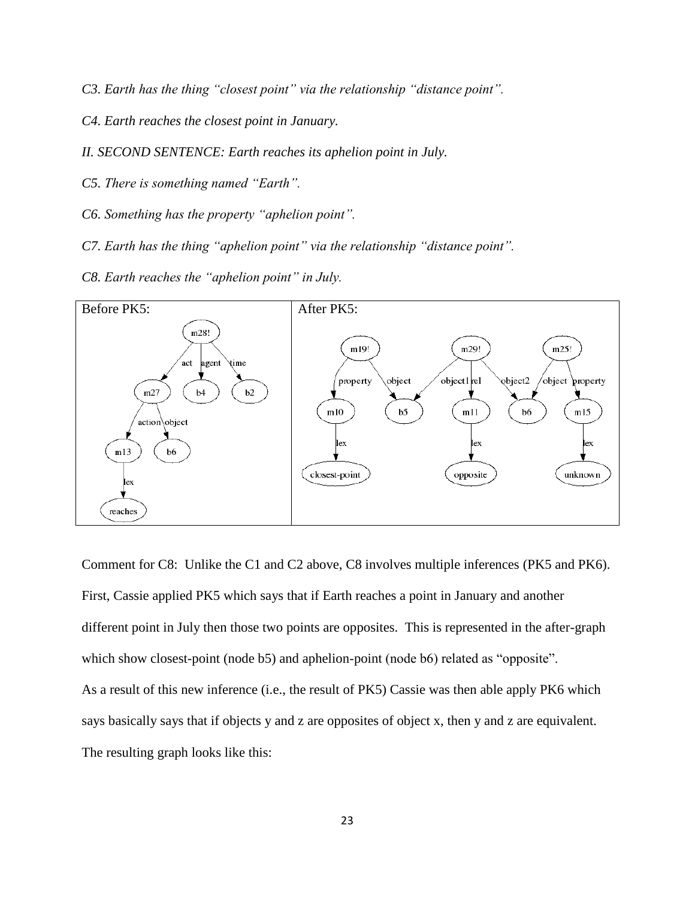- *C3. Earth has the thing "closest point" via the relationship "distance point".*
- *C4. Earth reaches the closest point in January.*
- *II. SECOND SENTENCE: Earth reaches its aphelion point in July.*
- *C5. There is something named "Earth".*
- *C6. Something has the property "aphelion point".*
- *C7. Earth has the thing "aphelion point" via the relationship "distance point".*
- *C8. Earth reaches the "aphelion point" in July.*



Comment for C8: Unlike the C1 and C2 above, C8 involves multiple inferences (PK5 and PK6). First, Cassie applied PK5 which says that if Earth reaches a point in January and another different point in July then those two points are opposites. This is represented in the after-graph which show closest-point (node b5) and aphelion-point (node b6) related as "opposite". As a result of this new inference (i.e., the result of PK5) Cassie was then able apply PK6 which says basically says that if objects y and z are opposites of object x, then y and z are equivalent. The resulting graph looks like this: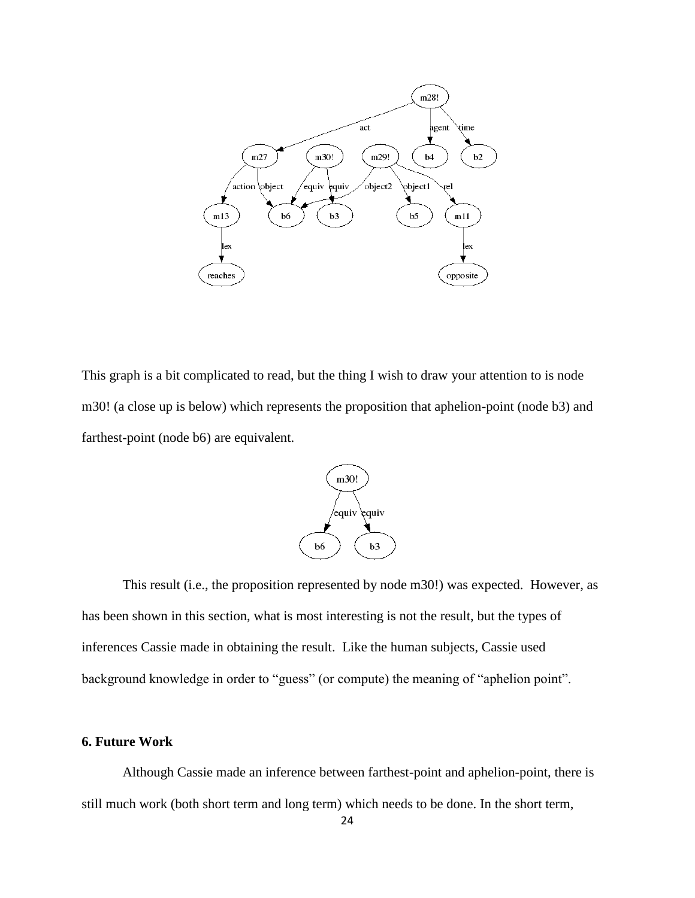

This graph is a bit complicated to read, but the thing I wish to draw your attention to is node m30! (a close up is below) which represents the proposition that aphelion-point (node b3) and farthest-point (node b6) are equivalent.



This result (i.e., the proposition represented by node m30!) was expected. However, as has been shown in this section, what is most interesting is not the result, but the types of inferences Cassie made in obtaining the result. Like the human subjects, Cassie used background knowledge in order to "guess" (or compute) the meaning of "aphelion point".

## **6. Future Work**

Although Cassie made an inference between farthest-point and aphelion-point, there is still much work (both short term and long term) which needs to be done. In the short term,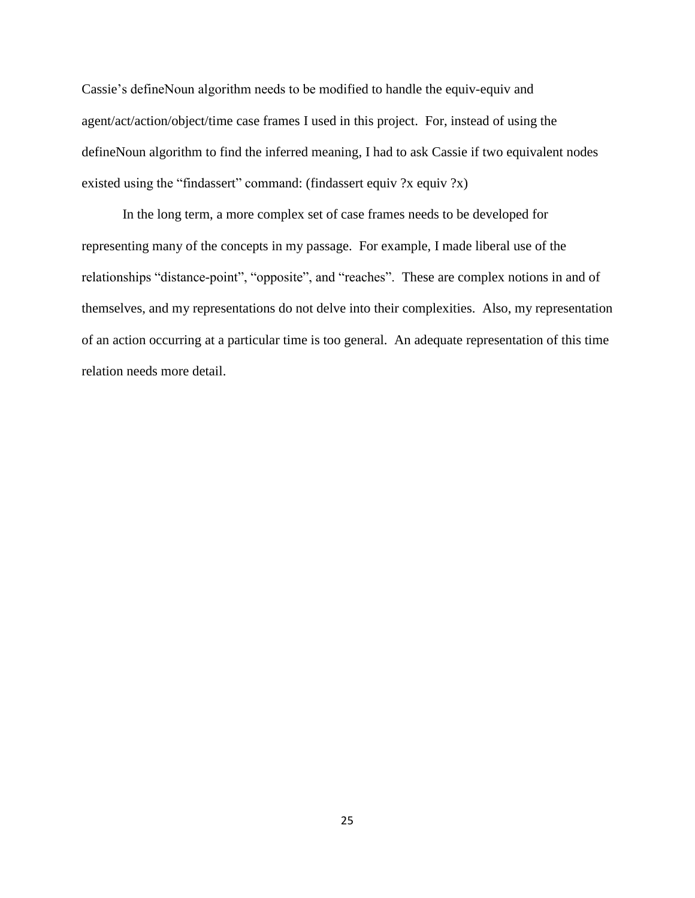Cassie"s defineNoun algorithm needs to be modified to handle the equiv-equiv and agent/act/action/object/time case frames I used in this project. For, instead of using the defineNoun algorithm to find the inferred meaning, I had to ask Cassie if two equivalent nodes existed using the "findassert" command: (findassert equiv ?x equiv ?x)

In the long term, a more complex set of case frames needs to be developed for representing many of the concepts in my passage. For example, I made liberal use of the relationships "distance-point", "opposite", and "reaches". These are complex notions in and of themselves, and my representations do not delve into their complexities. Also, my representation of an action occurring at a particular time is too general. An adequate representation of this time relation needs more detail.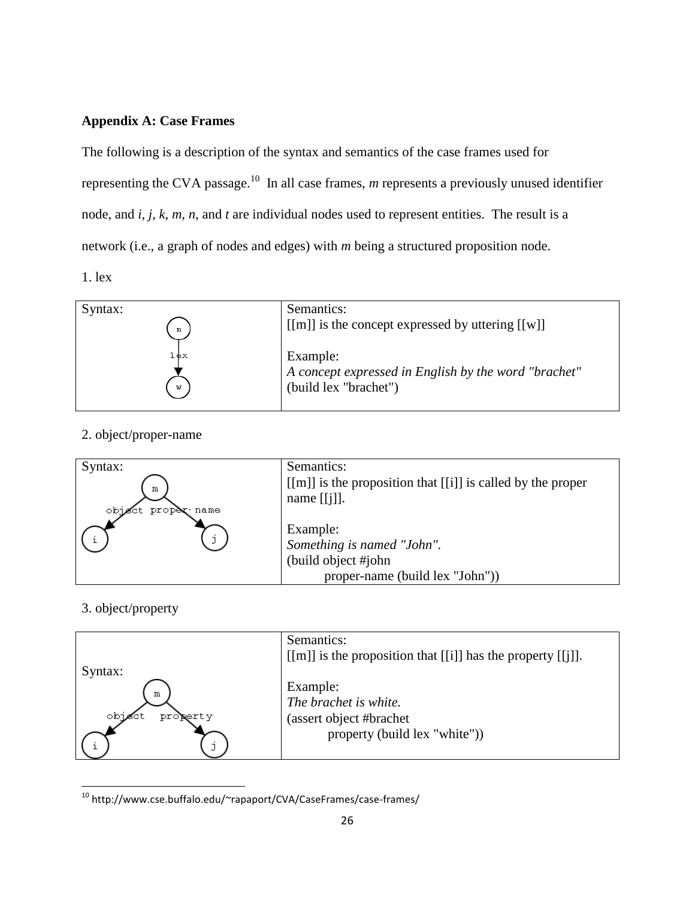# **Appendix A: Case Frames**

The following is a description of the syntax and semantics of the case frames used for representing the CVA passage.<sup>10</sup> In all case frames, *m* represents a previously unused identifier node, and *i, j, k, m, n,* and *t* are individual nodes used to represent entities. The result is a network (i.e., a graph of nodes and edges) with *m* being a structured proposition node. 1. lex

| Syntax:<br>m |     | Semantics:<br>$\lceil \lceil m \rceil \rceil$ is the concept expressed by uttering $\lceil \lceil w \rceil \rceil$ |
|--------------|-----|--------------------------------------------------------------------------------------------------------------------|
| w            | .¢× | Example:<br>A concept expressed in English by the word "brachet"<br>(build lex "brachet")                          |

# 2. object/proper-name



# 3. object/property

l



<sup>10</sup> http://www.cse.buffalo.edu/~rapaport/CVA/CaseFrames/case-frames/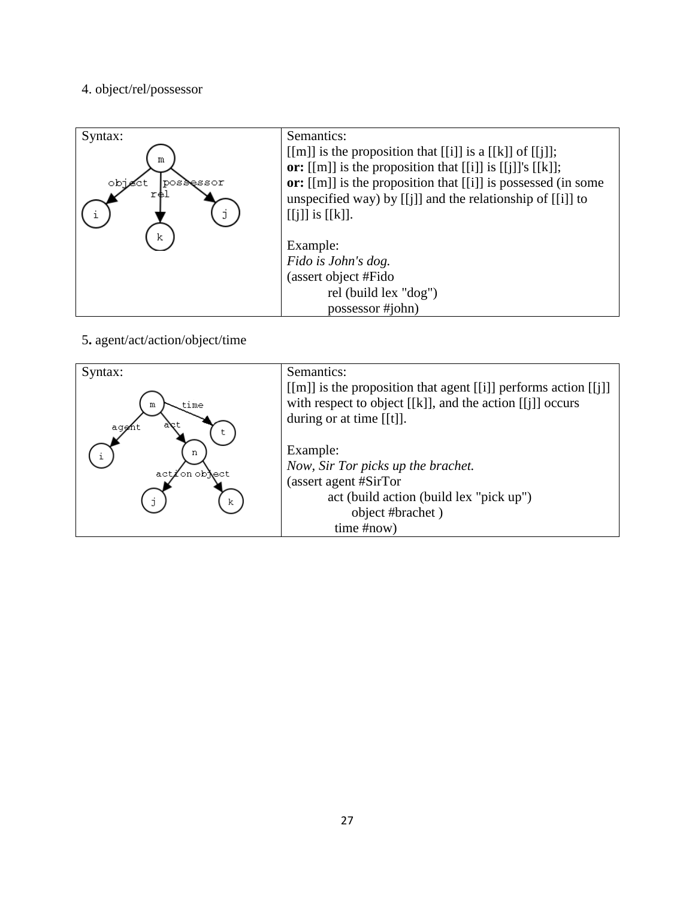# 4. object/rel/possessor

| Syntax:<br>m<br>obje<br>posdessor<br>r⊕l<br>k | Semantics:<br>[[m]] is the proposition that [[i]] is a [[k]] of [[j]];<br>or: $[[m]]$ is the proposition that $[[i]]$ is $[[j]]$ 's $[[k]]$ ;<br>or: [[m]] is the proposition that [[i]] is possessed (in some<br>unspecified way) by $[[j]]$ and the relationship of $[[i]]$ to<br>$[[j]]$ is $[[k]].$<br>Example: |
|-----------------------------------------------|---------------------------------------------------------------------------------------------------------------------------------------------------------------------------------------------------------------------------------------------------------------------------------------------------------------------|
|                                               | Fido is John's dog.                                                                                                                                                                                                                                                                                                 |
|                                               | (assert object #Fido                                                                                                                                                                                                                                                                                                |
|                                               | rel (build lex "dog")                                                                                                                                                                                                                                                                                               |
|                                               | possessor #john)                                                                                                                                                                                                                                                                                                    |

5**.** agent/act/action/object/time

| Syntax:                | Semantics:                                                                                                                                                        |
|------------------------|-------------------------------------------------------------------------------------------------------------------------------------------------------------------|
| time<br>m<br>aq∉h      | $[[m]]$ is the proposition that agent $[[i]]$ performs action $[[i]]$<br>with respect to object [[k]], and the action [[j]] occurs<br>during or at time $[[t]]$ . |
| n                      | Example:                                                                                                                                                          |
| act <b>∠</b> on object | Now, Sir Tor picks up the brachet.                                                                                                                                |
|                        | (assert agent #SirTor                                                                                                                                             |
| k                      | act (build action (build lex "pick up")                                                                                                                           |
|                        | object #brachet)                                                                                                                                                  |
|                        | time #now)                                                                                                                                                        |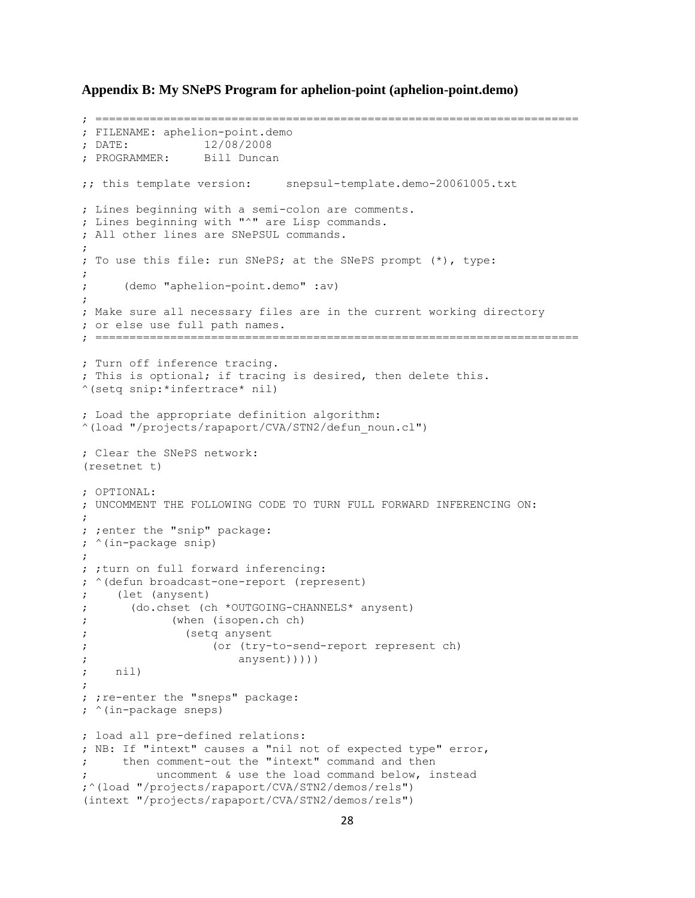**Appendix B: My SNePS Program for aphelion-point (aphelion-point.demo)**

```
; =======================================================================
; FILENAME: aphelion-point.demo
; DATE: 12/08/2008
; PROGRAMMER: Bill Duncan
;; this template version: snepsul-template.demo-20061005.txt
; Lines beginning with a semi-colon are comments.
; Lines beginning with "^" are Lisp commands.
; All other lines are SNePSUL commands.
;
; To use this file: run SNePS; at the SNePS prompt (*), type:
;
     ; (demo "aphelion-point.demo" :av)
;
; Make sure all necessary files are in the current working directory
; or else use full path names.
; =======================================================================
; Turn off inference tracing.
; This is optional; if tracing is desired, then delete this.
^(setq snip:*infertrace* nil)
; Load the appropriate definition algorithm:
^(load "/projects/rapaport/CVA/STN2/defun_noun.cl")
; Clear the SNePS network:
(resetnet t)
; OPTIONAL:
; UNCOMMENT THE FOLLOWING CODE TO TURN FULL FORWARD INFERENCING ON:
;
; ;enter the "snip" package:
; ^(in-package snip)
;
; ; turn on full forward inferencing:
; ^(defun broadcast-one-report (represent)
; (let (anysent)
; (do.chset (ch *OUTGOING-CHANNELS* anysent)
; (when (isopen.ch ch)
; (setq anysent
; (or (try-to-send-report represent ch)
; anysent)))))
   ; nil)
;
; ; re-enter the "sneps" package:
; ^(in-package sneps)
; load all pre-defined relations:
; NB: If "intext" causes a "nil not of expected type" error,
; then comment-out the "intext" command and then
         uncomment & use the load command below, instead
;^(load "/projects/rapaport/CVA/STN2/demos/rels")
(intext "/projects/rapaport/CVA/STN2/demos/rels")
```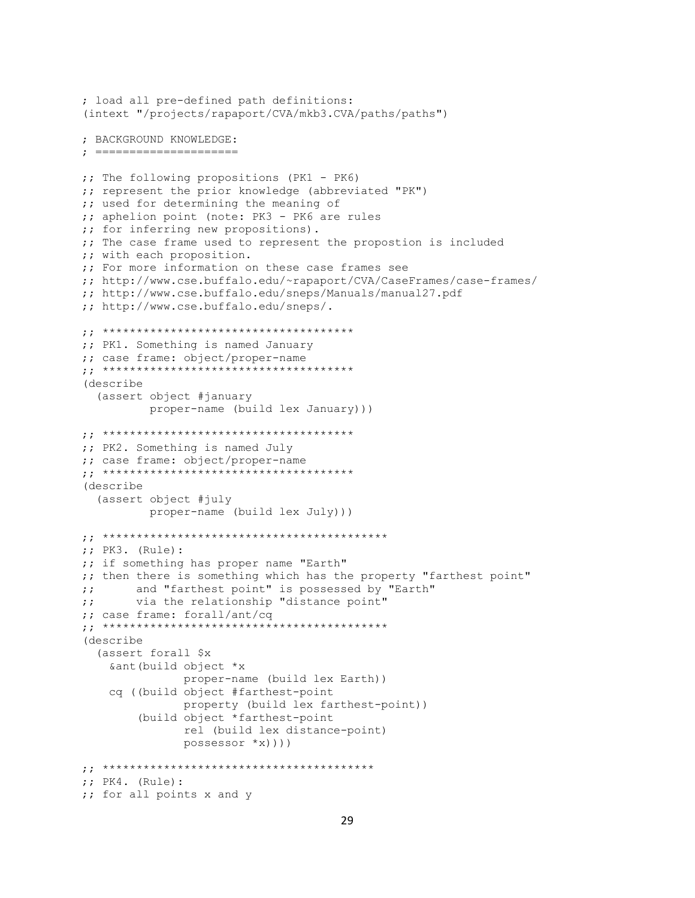```
; load all pre-defined path definitions:
(intext "/projects/rapaport/CVA/mkb3.CVA/paths/paths")
; BACKGROUND KNOWLEDGE:
; =====================
;; The following propositions (PK1 - PK6)
;; represent the prior knowledge (abbreviated "PK")
;; used for determining the meaning of
;; aphelion point (note: PK3 - PK6 are rules
;; for inferring new propositions).
;; The case frame used to represent the propostion is included
;; with each proposition.
;; For more information on these case frames see
;; http://www.cse.buffalo.edu/~rapaport/CVA/CaseFrames/case-frames/
;; http://www.cse.buffalo.edu/sneps/Manuals/manual27.pdf
;; http://www.cse.buffalo.edu/sneps/.
;; *************************************
;; PK1. Something is named January
;; case frame: object/proper-name
;; *************************************
(describe
   (assert object #january 
           proper-name (build lex January)))
;; *************************************
;; PK2. Something is named July
;; case frame: object/proper-name
;; *************************************
(describe
   (assert object #july 
           proper-name (build lex July)))
;; ******************************************
;; PK3. (Rule):
;; if something has proper name "Earth"
;; then there is something which has the property "farthest point"
;; and "farthest point" is possessed by "Earth"
;; via the relationship "distance point"
;; case frame: forall/ant/cq
;; ******************************************
(describe
   (assert forall $x
    &ant(build object *x
                proper-name (build lex Earth))
     cq ((build object #farthest-point
                property (build lex farthest-point))
         (build object *farthest-point
                rel (build lex distance-point)
                possessor *x))))
;; ****************************************
;; PK4. (Rule): 
;; for all points x and y
```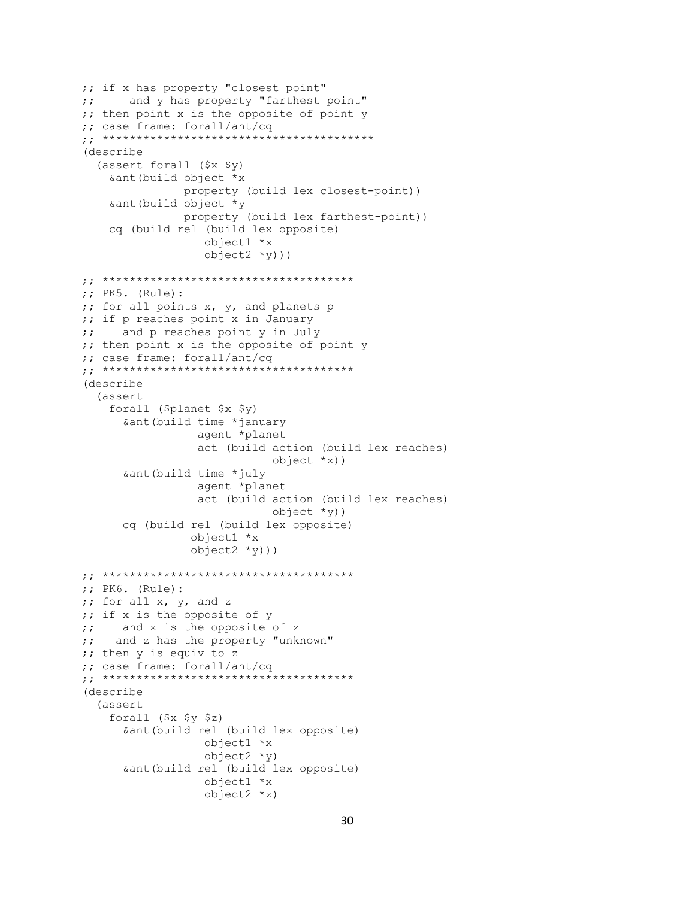```
;; if x has property "closest point"
;; and y has property "farthest point"
;; then point x is the opposite of point y
;; case frame: forall/ant/cq
;; ****************************************
(describe
   (assert forall ($x $y)
     &ant(build object *x
                property (build lex closest-point))
     &ant(build object *y
                property (build lex farthest-point))
     cq (build rel (build lex opposite)
                   object1 *x
                  object2 *y)))
;; *************************************
;; PK5. (Rule):
;; for all points x, y, and planets p
;; if p reaches point x in January
;; and p reaches point y in July
;; then point x is the opposite of point y
;; case frame: forall/ant/cq
;; *************************************
(describe 
   (assert
     forall ($planet $x $y)
       &ant(build time *january
                  agent *planet
                  act (build action (build lex reaches)
                             object *x))
       &ant(build time *july
                  agent *planet
                 act (build action (build lex reaches)
                             object *y))
       cq (build rel (build lex opposite)
                 object1 *x
                 object2 *y)))
;; *************************************
;; PK6. (Rule):
;; for all x, y, and z
;; if x is the opposite of y
;; and x is the opposite of z
;; and z has the property "unknown"
;; then y is equiv to z
;; case frame: forall/ant/cq
;; *************************************
(describe
   (assert
     forall ($x $y $z)
       &ant(build rel (build lex opposite)
                   object1 *x
                  object2 *y)
       &ant(build rel (build lex opposite)
                   object1 *x
                  object2 *z)
```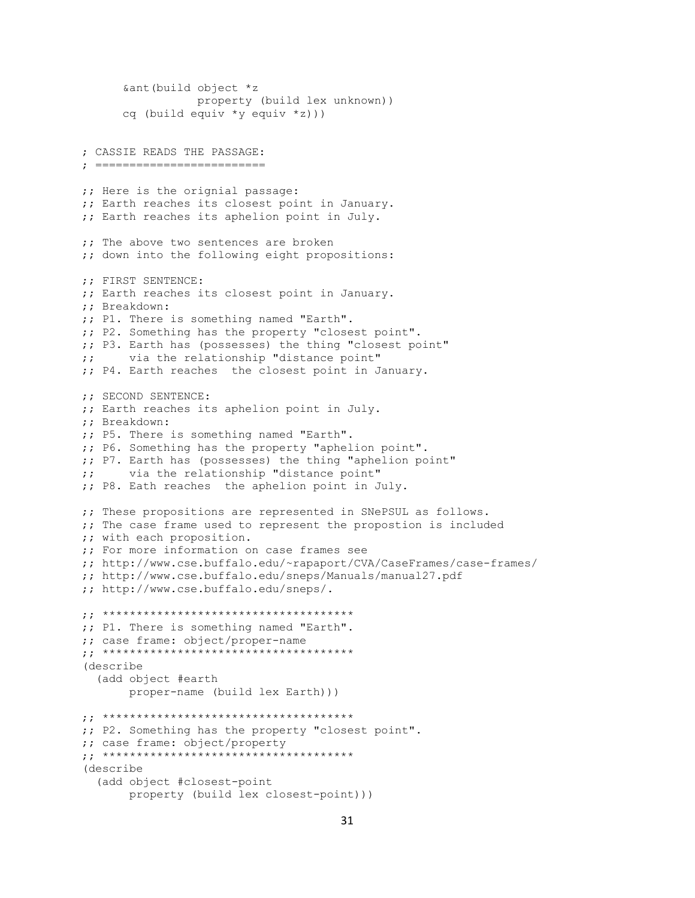```
 &ant(build object *z
                  property (build lex unknown))
       cq (build equiv *y equiv *z)))
; CASSIE READS THE PASSAGE:
; =========================
;; Here is the orignial passage:
;; Earth reaches its closest point in January.
;; Earth reaches its aphelion point in July.
;; The above two sentences are broken
;; down into the following eight propositions:
;; FIRST SENTENCE:
;; Earth reaches its closest point in January.
;; Breakdown:
;; P1. There is something named "Earth".
;; P2. Something has the property "closest point".
;; P3. Earth has (possesses) the thing "closest point"
;; via the relationship "distance point"
;; P4. Earth reaches the closest point in January.
;; SECOND SENTENCE:
;; Earth reaches its aphelion point in July.
;; Breakdown:
;; P5. There is something named "Earth".
;; P6. Something has the property "aphelion point".
;; P7. Earth has (possesses) the thing "aphelion point"
;; via the relationship "distance point"
;; P8. Eath reaches the aphelion point in July.
;; These propositions are represented in SNePSUL as follows.
;; The case frame used to represent the propostion is included
;; with each proposition.
;; For more information on case frames see
;; http://www.cse.buffalo.edu/~rapaport/CVA/CaseFrames/case-frames/
;; http://www.cse.buffalo.edu/sneps/Manuals/manual27.pdf
;; http://www.cse.buffalo.edu/sneps/.
;; *************************************
;; P1. There is something named "Earth".
;; case frame: object/proper-name
;; *************************************
(describe
   (add object #earth 
        proper-name (build lex Earth)))
;; *************************************
;; P2. Something has the property "closest point".
;; case frame: object/property
;; *************************************
(describe
   (add object #closest-point 
        property (build lex closest-point)))
```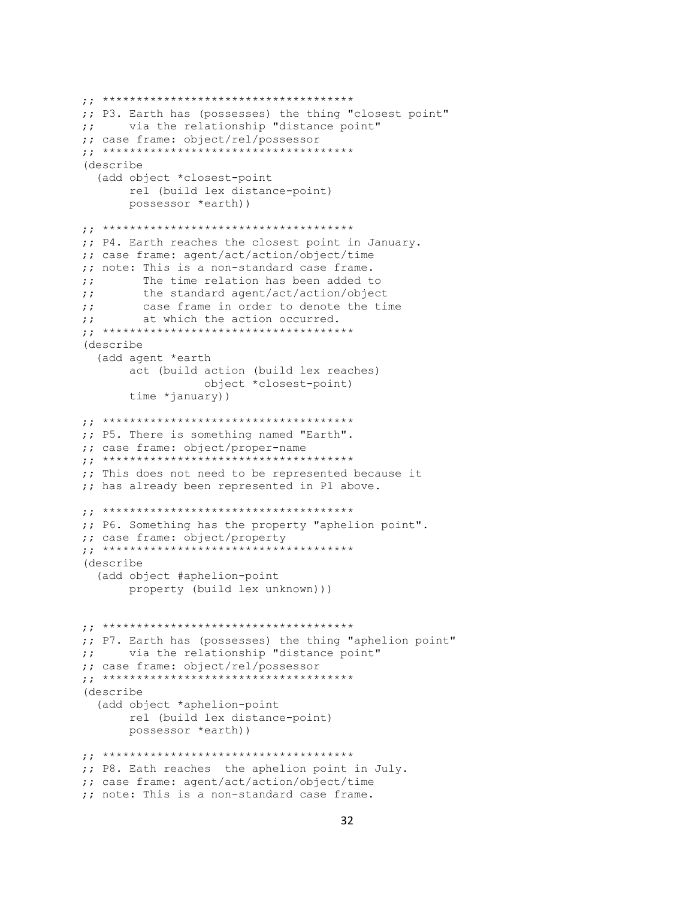```
;; *************************************
;; P3. Earth has (possesses) the thing "closest point"
;; via the relationship "distance point"
;; case frame: object/rel/possessor
;; *************************************
(describe
   (add object *closest-point
        rel (build lex distance-point)
       possessor *earth))
;; *************************************
;; P4. Earth reaches the closest point in January.
;; case frame: agent/act/action/object/time
;; note: This is a non-standard case frame.
;; The time relation has been added to
;; the standard agent/act/action/object
;; case frame in order to denote the time
;; at which the action occurred.
;; *************************************
(describe
   (add agent *earth
       act (build action (build lex reaches)
                   object *closest-point)
        time *january))
;; *************************************
;; P5. There is something named "Earth".
;; case frame: object/proper-name
;; *************************************
;; This does not need to be represented because it
;; has already been represented in P1 above.
;; *************************************
;; P6. Something has the property "aphelion point".
;; case frame: object/property
;; *************************************
(describe
   (add object #aphelion-point 
       property (build lex unknown)))
;; *************************************
;; P7. Earth has (possesses) the thing "aphelion point"
;; via the relationship "distance point"
;; case frame: object/rel/possessor
;; *************************************
(describe
   (add object *aphelion-point
        rel (build lex distance-point)
       possessor *earth))
;; *************************************
;; P8. Eath reaches the aphelion point in July.
;; case frame: agent/act/action/object/time
;; note: This is a non-standard case frame.
```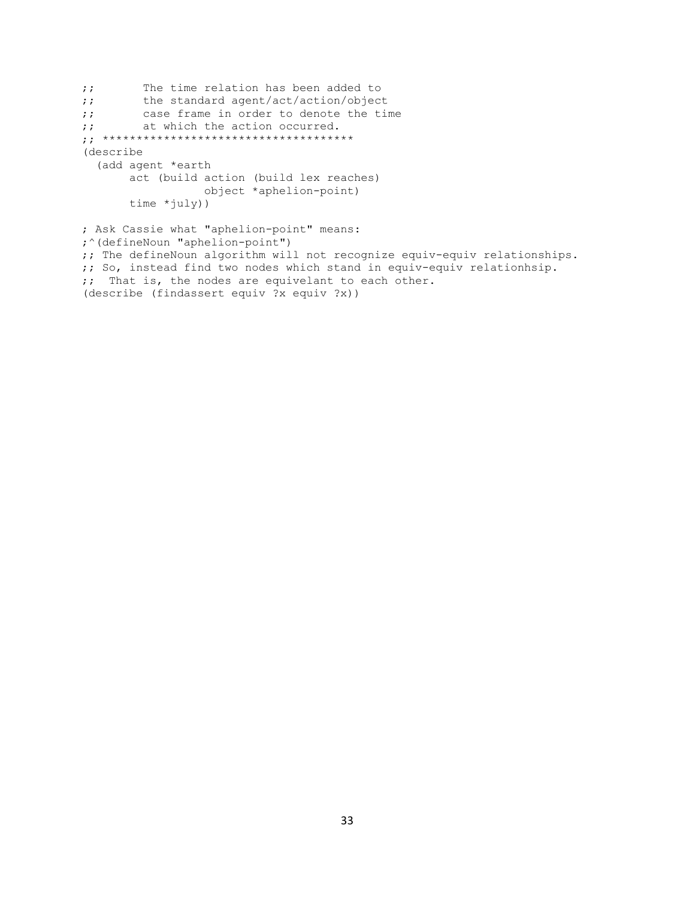```
;; The time relation has been added to
;; the standard agent/act/action/object
;; case frame in order to denote the time
;; at which the action occurred.
;; *************************************
(describe
   (add agent *earth
       act (build action (build lex reaches)
                 object *aphelion-point)
       time *july)) 
; Ask Cassie what "aphelion-point" means:
;^(defineNoun "aphelion-point")
;; The defineNoun algorithm will not recognize equiv-equiv relationships.
;; So, instead find two nodes which stand in equiv-equiv relationhsip.
;; That is, the nodes are equivelant to each other.
(describe (findassert equiv ?x equiv ?x))
```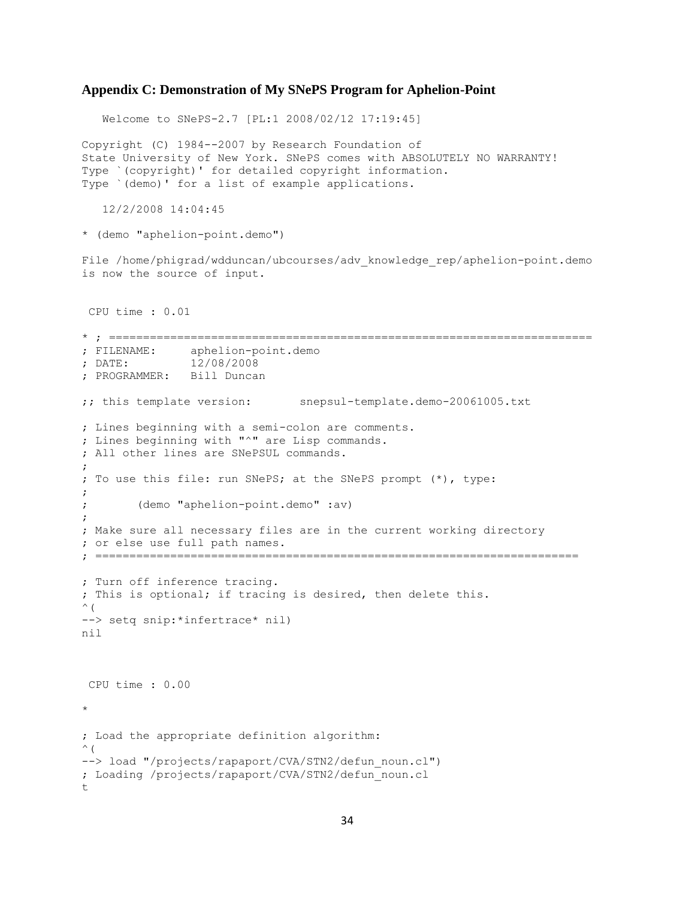#### **Appendix C: Demonstration of My SNePS Program for Aphelion-Point**

 Welcome to SNePS-2.7 [PL:1 2008/02/12 17:19:45] Copyright (C) 1984--2007 by Research Foundation of State University of New York. SNePS comes with ABSOLUTELY NO WARRANTY! Type `(copyright)' for detailed copyright information. Type `(demo)' for a list of example applications. 12/2/2008 14:04:45 \* (demo "aphelion-point.demo") File /home/phigrad/wdduncan/ubcourses/adv knowledge rep/aphelion-point.demo is now the source of input. CPU time : 0.01 \* ; ======================================================================= ; FILENAME: aphelion-point.demo ; DATE: 12/08/2008 ; PROGRAMMER: Bill Duncan ;; this template version: snepsul-template.demo-20061005.txt ; Lines beginning with a semi-colon are comments. ; Lines beginning with "^" are Lisp commands. ; All other lines are SNePSUL commands. ; ; To use this file: run SNePS; at the SNePS prompt (\*), type: ; ; (demo "aphelion-point.demo" :av) ; ; Make sure all necessary files are in the current working directory ; or else use full path names. ; ======================================================================= ; Turn off inference tracing. ; This is optional; if tracing is desired, then delete this.  $\wedge$  ( --> setq snip:\*infertrace\* nil) nil CPU time : 0.00 \* ; Load the appropriate definition algorithm:  $\wedge$  ( --> load "/projects/rapaport/CVA/STN2/defun noun.cl") ; Loading /projects/rapaport/CVA/STN2/defun\_noun.cl t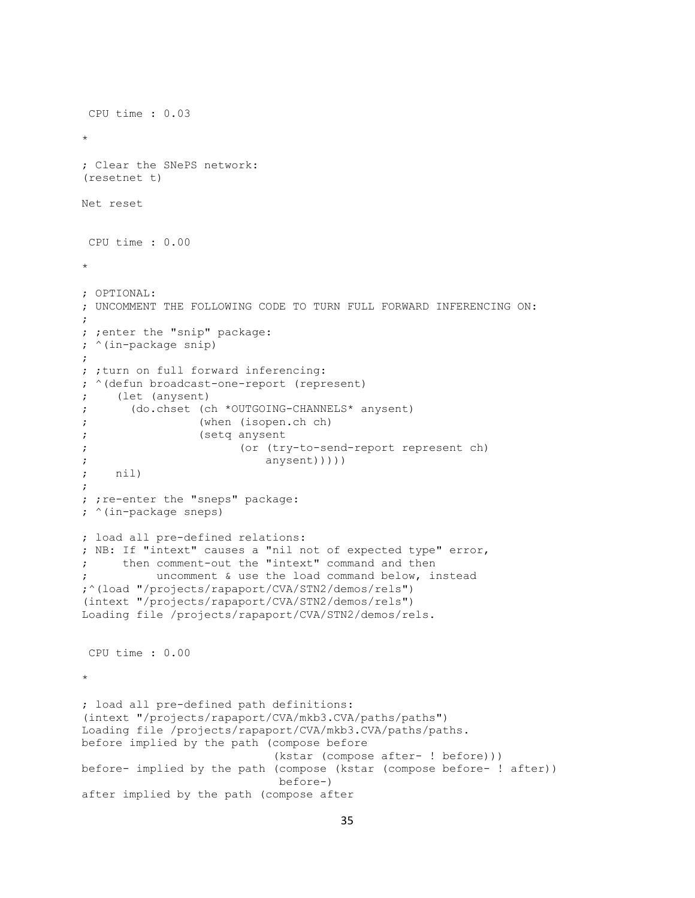```
CPU time : 0.03 
* 
; Clear the SNePS network:
(resetnet t)
Net reset
CPU time : 0.00 
* 
; OPTIONAL:
; UNCOMMENT THE FOLLOWING CODE TO TURN FULL FORWARD INFERENCING ON:
;
; ;enter the "snip" package:
; ^(in-package snip)
;
; ; turn on full forward inferencing:
; ^(defun broadcast-one-report (represent)
; (let (anysent)
; (do.chset (ch *OUTGOING-CHANNELS* anysent)
; (when (isopen.ch ch)
; (setq anysent
; (or (try-to-send-report represent ch)
; anysent)))))
; nil)
;
; ; re-enter the "sneps" package:
; ^(in-package sneps)
; load all pre-defined relations:
; NB: If "intext" causes a "nil not of expected type" error,
; then comment-out the "intext" command and then
          uncomment & use the load command below, instead
;^(load "/projects/rapaport/CVA/STN2/demos/rels")
(intext "/projects/rapaport/CVA/STN2/demos/rels")
Loading file /projects/rapaport/CVA/STN2/demos/rels.
CPU time : 0.00 
* 
; load all pre-defined path definitions:
(intext "/projects/rapaport/CVA/mkb3.CVA/paths/paths")
Loading file /projects/rapaport/CVA/mkb3.CVA/paths/paths.
before implied by the path (compose before
                            (kstar (compose after- ! before)))
before- implied by the path (compose (kstar (compose before- ! after))
                            before-)
after implied by the path (compose after
```

```
35
```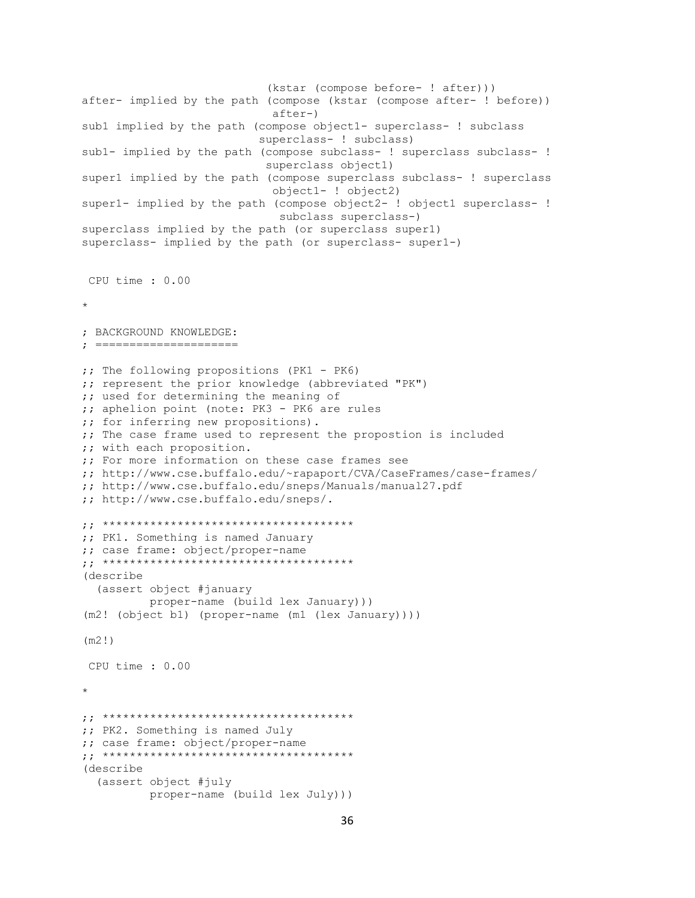```
 (kstar (compose before- ! after)))
after- implied by the path (compose (kstar (compose after- ! before))
                             after-)
sub1 implied by the path (compose object1- superclass- ! subclass
                           superclass- ! subclass)
sub1- implied by the path (compose subclass- ! superclass subclass- !
                            superclass object1)
super1 implied by the path (compose superclass subclass- ! superclass
                             object1- ! object2)
super1- implied by the path (compose object2- ! object1 superclass- !
                              subclass superclass-)
superclass implied by the path (or superclass super1)
superclass- implied by the path (or superclass- super1-)
CPU time : 0.00 
* 
; BACKGROUND KNOWLEDGE:
; =====================
;; The following propositions (PK1 - PK6)
;; represent the prior knowledge (abbreviated "PK")
;; used for determining the meaning of
;; aphelion point (note: PK3 - PK6 are rules
;; for inferring new propositions).
;; The case frame used to represent the propostion is included
;; with each proposition.
;; For more information on these case frames see
;; http://www.cse.buffalo.edu/~rapaport/CVA/CaseFrames/case-frames/
;; http://www.cse.buffalo.edu/sneps/Manuals/manual27.pdf
;; http://www.cse.buffalo.edu/sneps/.
;; *************************************
;; PK1. Something is named January
;; case frame: object/proper-name
;; *************************************
(describe
   (assert object #january 
           proper-name (build lex January)))
(m2! (object b1) (proper-name (m1 (lex January))))
(m2!)
CPU time : 0.00 
* 
;; *************************************
;; PK2. Something is named July
;; case frame: object/proper-name
;; *************************************
(describe
   (assert object #july 
           proper-name (build lex July)))
```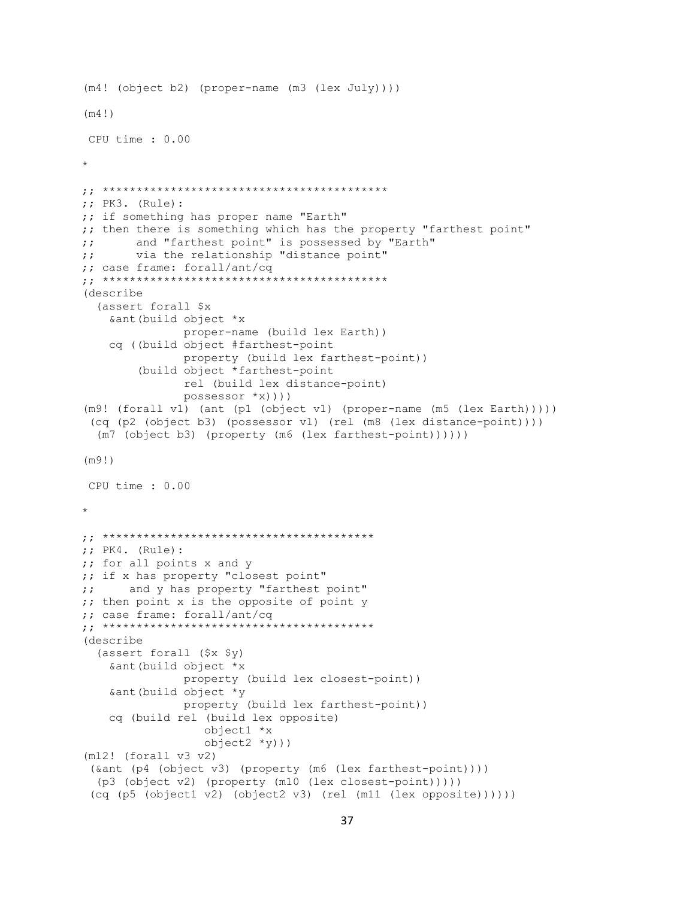```
(m4! (object b2) (proper-name (m3 (lex July))))
(m4!)
CPU time : 0.00 
* 
;; ******************************************
;; PK3. (Rule):
;; if something has proper name "Earth"
;; then there is something which has the property "farthest point"
;; and "farthest point" is possessed by "Earth"
;; via the relationship "distance point"
;; case frame: forall/ant/cq
;; ******************************************
(describe
   (assert forall $x
    &ant(build object *x
               proper-name (build lex Earth))
     cq ((build object #farthest-point
                property (build lex farthest-point))
         (build object *farthest-point
                rel (build lex distance-point)
                possessor *x))))
(m9! (forall v1) (ant (p1 (object v1) (proper-name (m5 (lex Earth)))))
 (cq (p2 (object b3) (possessor v1) (rel (m8 (lex distance-point))))
   (m7 (object b3) (property (m6 (lex farthest-point))))))
(m9!)
CPU time : 0.00 
* 
;; ****************************************
;; PK4. (Rule): 
;; for all points x and y
;; if x has property "closest point"
;; and y has property "farthest point"
;; then point x is the opposite of point y
;; case frame: forall/ant/cq
;; ****************************************
(describe
   (assert forall ($x $y)
     &ant(build object *x
                property (build lex closest-point))
     &ant(build object *y
                property (build lex farthest-point))
     cq (build rel (build lex opposite)
                   object1 *x
                  object2 *y)))
(m12! (forall v3 v2)
 (&ant (p4 (object v3) (property (m6 (lex farthest-point))))
   (p3 (object v2) (property (m10 (lex closest-point)))))
 (cq (p5 (object1 v2) (object2 v3) (rel (m11 (lex opposite))))))
```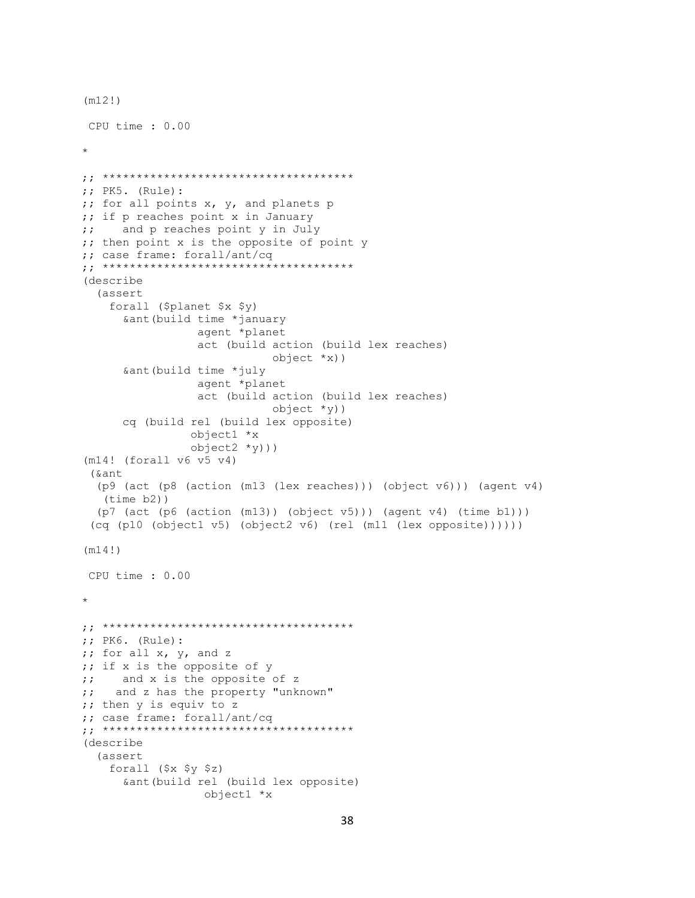```
(m12!)
CPU time : 0.00 
* 
;; *************************************
;; PK5. (Rule):
;; for all points x, y, and planets p
;; if p reaches point x in January
;; and p reaches point y in July
;; then point x is the opposite of point y 
;; case frame: forall/ant/cq
;; *************************************
(describe 
   (assert
     forall ($planet $x $y)
       &ant(build time *january
                  agent *planet
                 act (build action (build lex reaches)
                             object *x))
       &ant(build time *july
                  agent *planet
                 act (build action (build lex reaches)
                             object *y))
       cq (build rel (build lex opposite)
                 object1 *x
                 object2 *y)))
(m14! (forall v6 v5 v4)
 (&ant
   (p9 (act (p8 (action (m13 (lex reaches))) (object v6))) (agent v4)
   (time b2))
   (p7 (act (p6 (action (m13)) (object v5))) (agent v4) (time b1)))
 (cq (p10 (object1 v5) (object2 v6) (rel (m11 (lex opposite))))))
(m14!)
CPU time : 0.00 
* 
;; *************************************
;; PK6. (Rule):
;; for all x, y, and z
;; if x is the opposite of y
;; and x is the opposite of z
;; and z has the property "unknown"
;; then y is equiv to z
;; case frame: forall/ant/cq
;; *************************************
(describe
   (assert
     forall ($x $y $z)
       &ant(build rel (build lex opposite)
                   object1 *x
```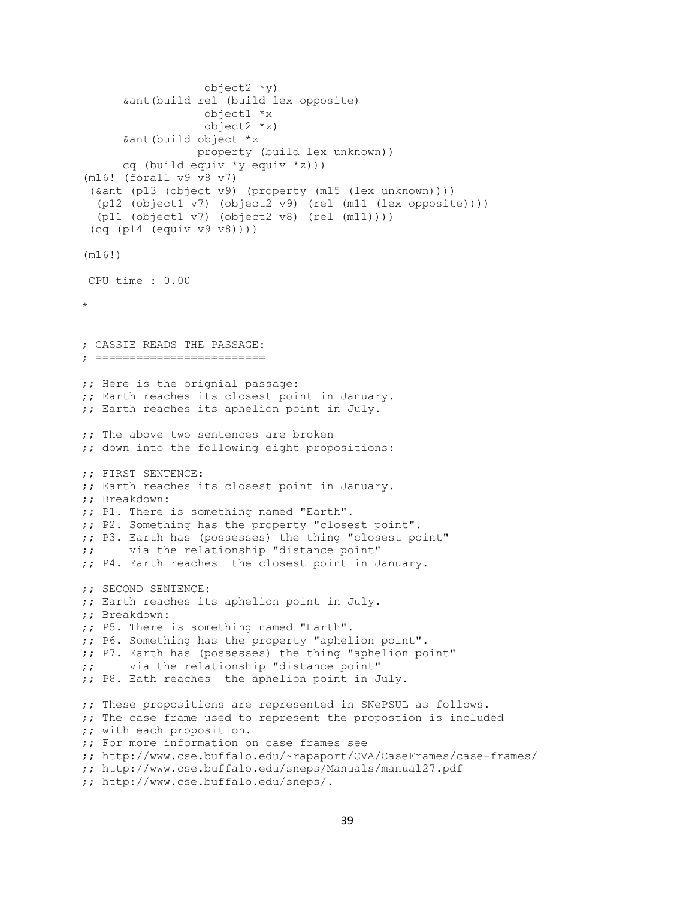```
 object2 *y)
       &ant(build rel (build lex opposite)
                   object1 *x
                   object2 *z)
       &ant(build object *z
                 property (build lex unknown))
       cq (build equiv *y equiv *z)))
(m16! (forall v9 v8 v7)
 (&ant (p13 (object v9) (property (m15 (lex unknown))))
   (p12 (object1 v7) (object2 v9) (rel (m11 (lex opposite))))
   (p11 (object1 v7) (object2 v8) (rel (m11))))
 (cq (p14 (equiv v9 v8))))
(m16!)
CPU time : 0.00 
* 
; CASSIE READS THE PASSAGE:
; =========================
;; Here is the orignial passage:
;; Earth reaches its closest point in January.
;; Earth reaches its aphelion point in July.
;; The above two sentences are broken
;; down into the following eight propositions:
;; FIRST SENTENCE:
;; Earth reaches its closest point in January.
;; Breakdown:
;; P1. There is something named "Earth".
;; P2. Something has the property "closest point".
;; P3. Earth has (possesses) the thing "closest point"
;; via the relationship "distance point"
;; P4. Earth reaches the closest point in January.
;; SECOND SENTENCE:
;; Earth reaches its aphelion point in July.
;; Breakdown:
;; P5. There is something named "Earth".
;; P6. Something has the property "aphelion point".
;; P7. Earth has (possesses) the thing "aphelion point"
;; via the relationship "distance point"
;; P8. Eath reaches the aphelion point in July.
;; These propositions are represented in SNePSUL as follows.
;; The case frame used to represent the propostion is included
;; with each proposition.
;; For more information on case frames see
;; http://www.cse.buffalo.edu/~rapaport/CVA/CaseFrames/case-frames/
;; http://www.cse.buffalo.edu/sneps/Manuals/manual27.pdf
;; http://www.cse.buffalo.edu/sneps/.
```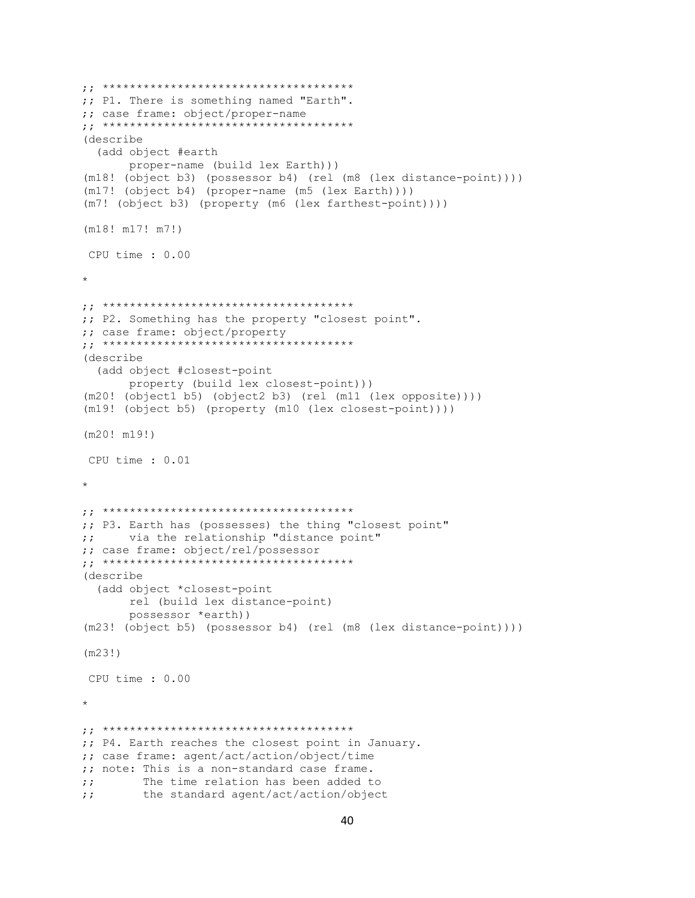```
;; *************************************
;; P1. There is something named "Earth".
;; case frame: object/proper-name
;; *************************************
(describe
   (add object #earth 
       proper-name (build lex Earth)))
(m18! (object b3) (possessor b4) (rel (m8 (lex distance-point))))
(m17! (object b4) (proper-name (m5 (lex Earth))))
(m7! (object b3) (property (m6 (lex farthest-point))))
(m18! m17! m7!)
CPU time : 0.00 
* 
;; *************************************
;; P2. Something has the property "closest point".
;; case frame: object/property
;; *************************************
(describe
   (add object #closest-point 
       property (build lex closest-point)))
(m20! (object1 b5) (object2 b3) (rel (m11 (lex opposite))))
(m19! (object b5) (property (m10 (lex closest-point))))
(m20! m19!)
CPU time : 0.01 
* 
;; *************************************
;; P3. Earth has (possesses) the thing "closest point"
;; via the relationship "distance point"
;; case frame: object/rel/possessor
;; *************************************
(describe
   (add object *closest-point
       rel (build lex distance-point)
       possessor *earth))
(m23! (object b5) (possessor b4) (rel (m8 (lex distance-point))))
(m23!)
CPU time : 0.00 
* 
;; *************************************
;; P4. Earth reaches the closest point in January.
;; case frame: agent/act/action/object/time
;; note: This is a non-standard case frame.
;; The time relation has been added to
;; the standard agent/act/action/object
```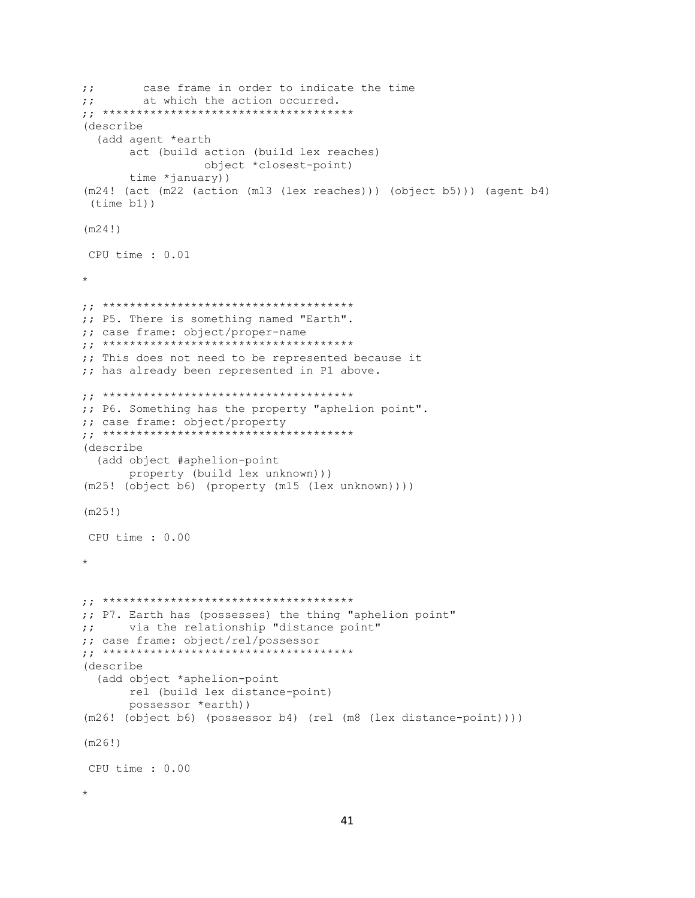```
;; case frame in order to indicate the time
;; at which the action occurred.
;; *************************************
(describe
   (add agent *earth
        act (build action (build lex reaches)
                   object *closest-point)
        time *january))
(m24! (act (m22 (action (m13 (lex reaches))) (object b5))) (agent b4)
 (time b1))
(m24!)
CPU time : 0.01 
* 
;; *************************************
;; P5. There is something named "Earth".
;; case frame: object/proper-name
;; *************************************
;; This does not need to be represented because it
;; has already been represented in P1 above.
;; *************************************
;; P6. Something has the property "aphelion point".
;; case frame: object/property
;; *************************************
(describe
   (add object #aphelion-point 
       property (build lex unknown)))
(m25! (object b6) (property (m15 (lex unknown))))
(m25!)
CPU time : 0.00 
* 
;; *************************************
;; P7. Earth has (possesses) the thing "aphelion point"
;; via the relationship "distance point"
;; case frame: object/rel/possessor
;; *************************************
(describe
   (add object *aphelion-point
       rel (build lex distance-point)
       possessor *earth))
(m26! (object b6) (possessor b4) (rel (m8 (lex distance-point))))
(m26!)
CPU time : 0.00 
*
```

```
41
```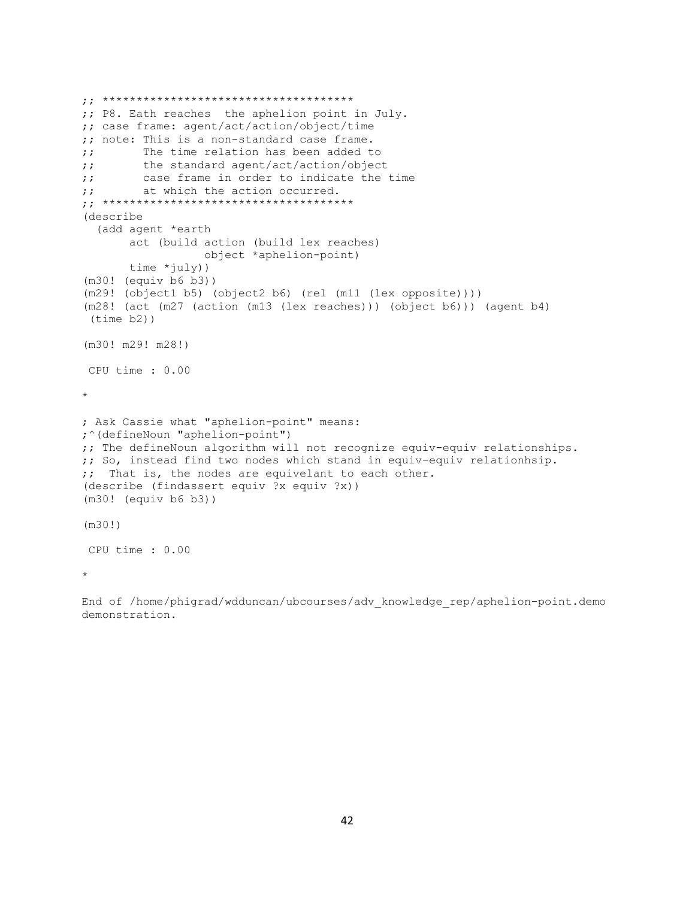```
;; *************************************
;; P8. Eath reaches the aphelion point in July.
;; case frame: agent/act/action/object/time
;; note: This is a non-standard case frame.
;; The time relation has been added to
;; the standard agent/act/action/object
;; case frame in order to indicate the time
;; at which the action occurred.
;; *************************************
(describe
  (add agent *earth
       act (build action (build lex reaches)
                   object *aphelion-point)
       time *july)) 
(m30! (equiv b6 b3))
(m29! (object1 b5) (object2 b6) (rel (m11 (lex opposite))))
(m28! (act (m27 (action (m13 (lex reaches))) (object b6))) (agent b4)
(time b2))
(m30! m29! m28!)
CPU time : 0.00 
* 
; Ask Cassie what "aphelion-point" means:
;^(defineNoun "aphelion-point")
;; The defineNoun algorithm will not recognize equiv-equiv relationships.
;; So, instead find two nodes which stand in equiv-equiv relationhsip.
;; That is, the nodes are equivelant to each other.
(describe (findassert equiv ?x equiv ?x))
(m30! (equiv b6 b3))
(m30!)
CPU time : 0.00 
*
```
End of /home/phigrad/wdduncan/ubcourses/adv\_knowledge\_rep/aphelion-point.demo demonstration.